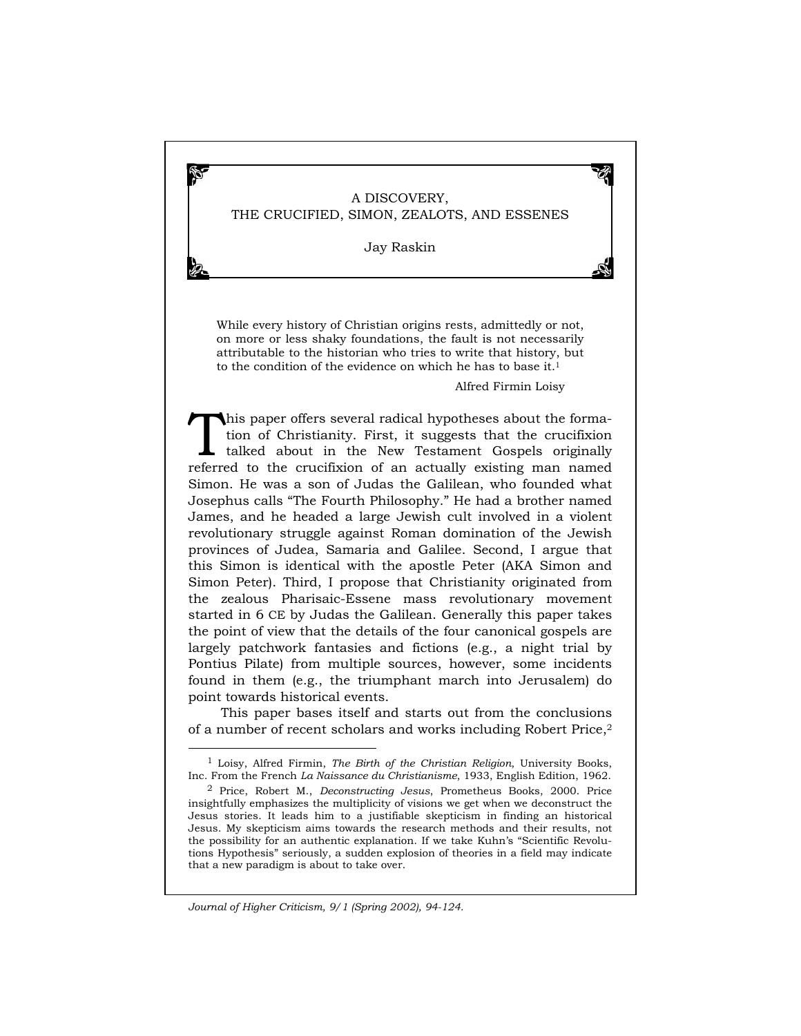# A DISCOVERY, THE CRUCIFIED, SIMON, ZEALOTS, AND ESSENES

Ì.

Jay Raskin

While every history of Christian origins rests, admittedly or not, on more or less shaky foundations, the fault is not necessarily attributable to the historian who tries to write that history, but to the condition of the evidence on which he has to base it.[1](#page-0-0)

#### Alfred Firmin Loisy

This paper offers several radical hypotheses about the formation of Christianity. First, it suggests that the crucifixion talked about in the New Testament Gospels originally referred to the crucifixion of an actually existing man named Simon. He was a son of Judas the Galilean, who founded what Josephus calls "The Fourth Philosophy." He had a brother named James, and he headed a large Jewish cult involved in a violent revolutionary struggle against Roman domination of the Jewish provinces of Judea, Samaria and Galilee. Second, I argue that this Simon is identical with the apostle Peter (AKA Simon and Simon Peter). Third, I propose that Christianity originated from the zealous Pharisaic-Essene mass revolutionary movement started in 6 CE by Judas the Galilean. Generally this paper takes the point of view that the details of the four canonical gospels are largely patchwork fantasies and fictions (e.g., a night trial by Pontius Pilate) from multiple sources, however, some incidents found in them (e.g., the triumphant march into Jerusalem) do point towards historical events.

This paper bases itself and starts out from the conclusions of a number of recent scholars and works including Robert Price[,2](#page-0-1)

*Journal of Higher Criticism, 9/1 (Spring 2002), 94-124.* 

<span id="page-0-0"></span> <sup>1</sup> Loisy, Alfred Firmin, *The Birth of the Christian Religion*, University Books, Inc. From the French *La Naissance du Christianisme*, 1933, English Edition, 1962.

<span id="page-0-1"></span><sup>2</sup> Price, Robert M., *Deconstructing Jesus*, Prometheus Books, 2000. Price insightfully emphasizes the multiplicity of visions we get when we deconstruct the Jesus stories. It leads him to a justifiable skepticism in finding an historical Jesus. My skepticism aims towards the research methods and their results, not the possibility for an authentic explanation. If we take Kuhn's "Scientific Revolutions Hypothesis" seriously, a sudden explosion of theories in a field may indicate that a new paradigm is about to take over.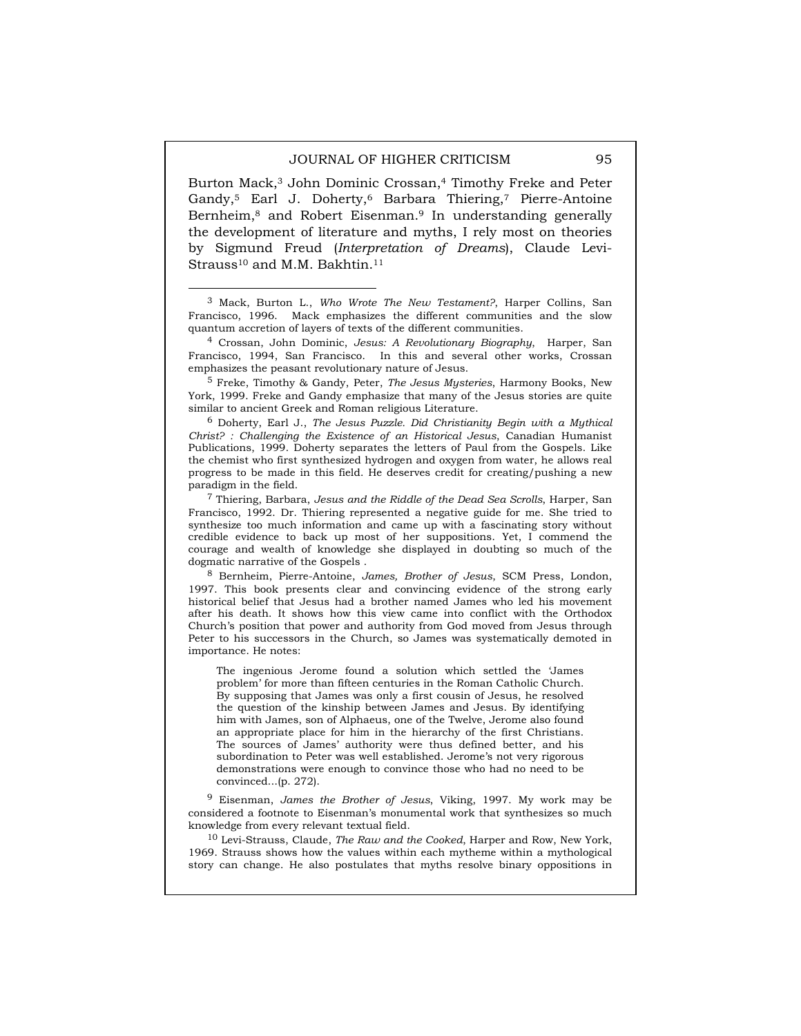Burton Mack[,3](#page-1-0) John Dominic Crossan,[4](#page-1-1) Timothy Freke and Peter Gandy,<sup>5</sup> Earl J. Doherty,<sup>6</sup> Barbara Thiering,<sup>7</sup> Pierre-Antoine Bernheim,<sup>8</sup> and Robert Eisenman.<sup>[9](#page-1-6)</sup> In understanding generally the development of literature and myths, I rely most on theories by Sigmund Freud (*Interpretation of Dreams*), Claude Levi-Strauss<sup>10</sup> and M.M. Bakhtin.<sup>11</sup>

<span id="page-1-2"></span>5 Freke, Timothy & Gandy, Peter, *The Jesus Mysteries*, Harmony Books, New York, 1999. Freke and Gandy emphasize that many of the Jesus stories are quite similar to ancient Greek and Roman religious Literature.

<span id="page-1-3"></span>6 Doherty, Earl J., *The Jesus Puzzle. Did Christianity Begin with a Mythical Christ? : Challenging the Existence of an Historical Jesus*, Canadian Humanist Publications, 1999. Doherty separates the letters of Paul from the Gospels. Like the chemist who first synthesized hydrogen and oxygen from water, he allows real progress to be made in this field. He deserves credit for creating/pushing a new paradigm in the field.

<span id="page-1-4"></span>7 Thiering, Barbara, *Jesus and the Riddle of the Dead Sea Scrolls*, Harper, San Francisco, 1992. Dr. Thiering represented a negative guide for me. She tried to synthesize too much information and came up with a fascinating story without credible evidence to back up most of her suppositions. Yet, I commend the courage and wealth of knowledge she displayed in doubting so much of the dogmatic narrative of the Gospels .

<span id="page-1-5"></span>8 Bernheim, Pierre-Antoine, *James, Brother of Jesus*, SCM Press, London, 1997. This book presents clear and convincing evidence of the strong early historical belief that Jesus had a brother named James who led his movement after his death. It shows how this view came into conflict with the Orthodox Church's position that power and authority from God moved from Jesus through Peter to his successors in the Church, so James was systematically demoted in importance. He notes:

The ingenious Jerome found a solution which settled the 'James problem' for more than fifteen centuries in the Roman Catholic Church. By supposing that James was only a first cousin of Jesus, he resolved the question of the kinship between James and Jesus. By identifying him with James, son of Alphaeus, one of the Twelve, Jerome also found an appropriate place for him in the hierarchy of the first Christians. The sources of James' authority were thus defined better, and his subordination to Peter was well established. Jerome's not very rigorous demonstrations were enough to convince those who had no need to be convinced...(p. 272).

<span id="page-1-8"></span><span id="page-1-6"></span>9 Eisenman, *James the Brother of Jesus*, Viking, 1997. My work may be considered a footnote to Eisenman's monumental work that synthesizes so much knowledge from every relevant textual field.

<span id="page-1-7"></span>10 Levi-Strauss, Claude, *The Raw and the Cooked*, Harper and Row, New York, 1969. Strauss shows how the values within each mytheme within a mythological story can change. He also postulates that myths resolve binary oppositions in

<span id="page-1-0"></span> <sup>3</sup> Mack, Burton L., *Who Wrote The New Testament?*, Harper Collins, San Francisco, 1996. Mack emphasizes the different communities and the slow quantum accretion of layers of texts of the different communities.

<span id="page-1-1"></span><sup>4</sup> Crossan, John Dominic, *Jesus: A Revolutionary Biography*, Harper, San Francisco, 1994, San Francisco. In this and several other works, Crossan emphasizes the peasant revolutionary nature of Jesus.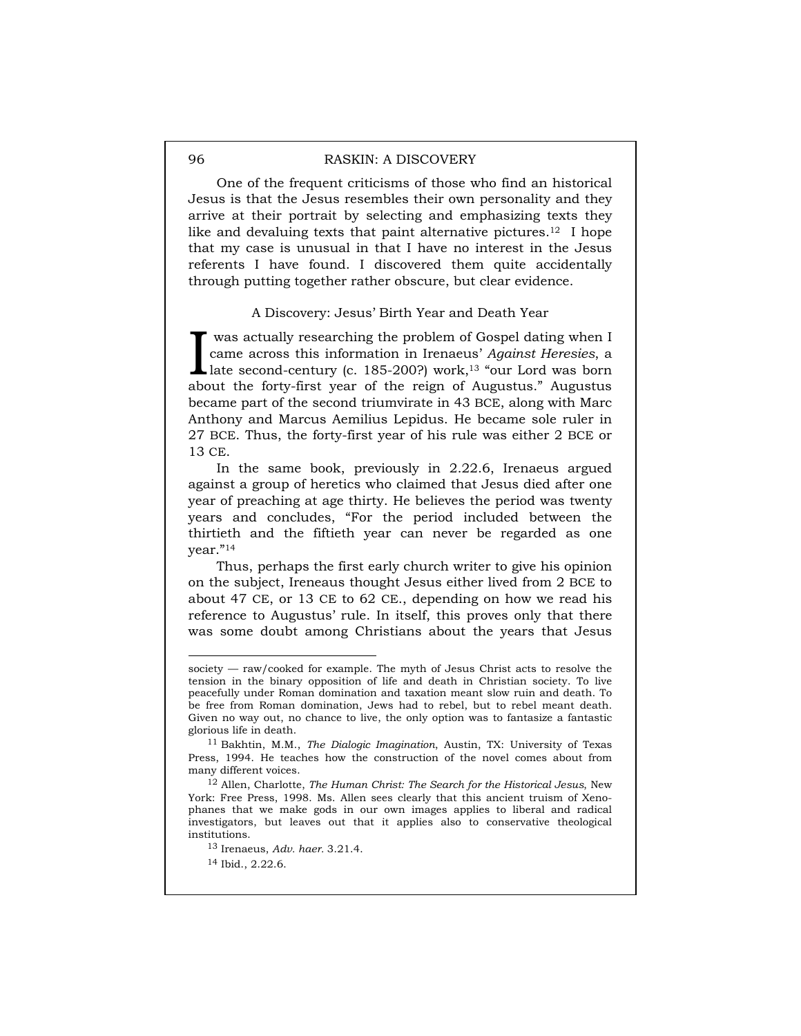One of the frequent criticisms of those who find an historical Jesus is that the Jesus resembles their own personality and they arrive at their portrait by selecting and emphasizing texts they like and devaluing texts that paint alternative pictures[.12](#page-2-0) I hope that my case is unusual in that I have no interest in the Jesus referents I have found. I discovered them quite accidentally through putting together rather obscure, but clear evidence.

#### A Discovery: Jesus' Birth Year and Death Year

I was actually researching the problem of Gospel dating when I<br>came across this information in Irenaeus' Against Heresies, a<br>late second-century (c. 185-200?) work,<sup>13</sup> ["o](#page-2-1)ur Lord was born<br>about the forty first wear of the was actually researching the problem of Gospel dating when I came across this information in Irenaeus' *Against Heresies*, a about the forty-first year of the reign of Augustus." Augustus became part of the second triumvirate in 43 BCE, along with Marc Anthony and Marcus Aemilius Lepidus. He became sole ruler in 27 BCE. Thus, the forty-first year of his rule was either 2 BCE or 13 CE.

In the same book, previously in 2.22.6, Irenaeus argued against a group of heretics who claimed that Jesus died after one year of preaching at age thirty. He believes the period was twenty years and concludes, "For the period included between the thirtieth and the fiftieth year can never be regarded as one year."[14](#page-2-2)

Thus, perhaps the first early church writer to give his opinion on the subject, Ireneaus thought Jesus either lived from 2 BCE to about 47 CE, or 13 CE to 62 CE., depending on how we read his reference to Augustus' rule. In itself, this proves only that there was some doubt among Christians about the years that Jesus

society — raw/cooked for example. The myth of Jesus Christ acts to resolve the tension in the binary opposition of life and death in Christian society. To live peacefully under Roman domination and taxation meant slow ruin and death. To be free from Roman domination, Jews had to rebel, but to rebel meant death. Given no way out, no chance to live, the only option was to fantasize a fantastic glorious life in death.

<sup>11</sup> Bakhtin, M.M., *The Dialogic Imagination*, Austin, TX: University of Texas Press, 1994. He teaches how the construction of the novel comes about from many different voices.

<span id="page-2-0"></span><sup>12</sup> Allen, Charlotte, *The Human Christ: The Search for the Historical Jesus*, New York: Free Press, 1998. Ms. Allen sees clearly that this ancient truism of Xenophanes that we make gods in our own images applies to liberal and radical investigators, but leaves out that it applies also to conservative theological institutions.

<span id="page-2-1"></span><sup>13</sup> Irenaeus, *Adv. haer.* 3.21.4.

<span id="page-2-2"></span><sup>14</sup> Ibid., 2.22.6.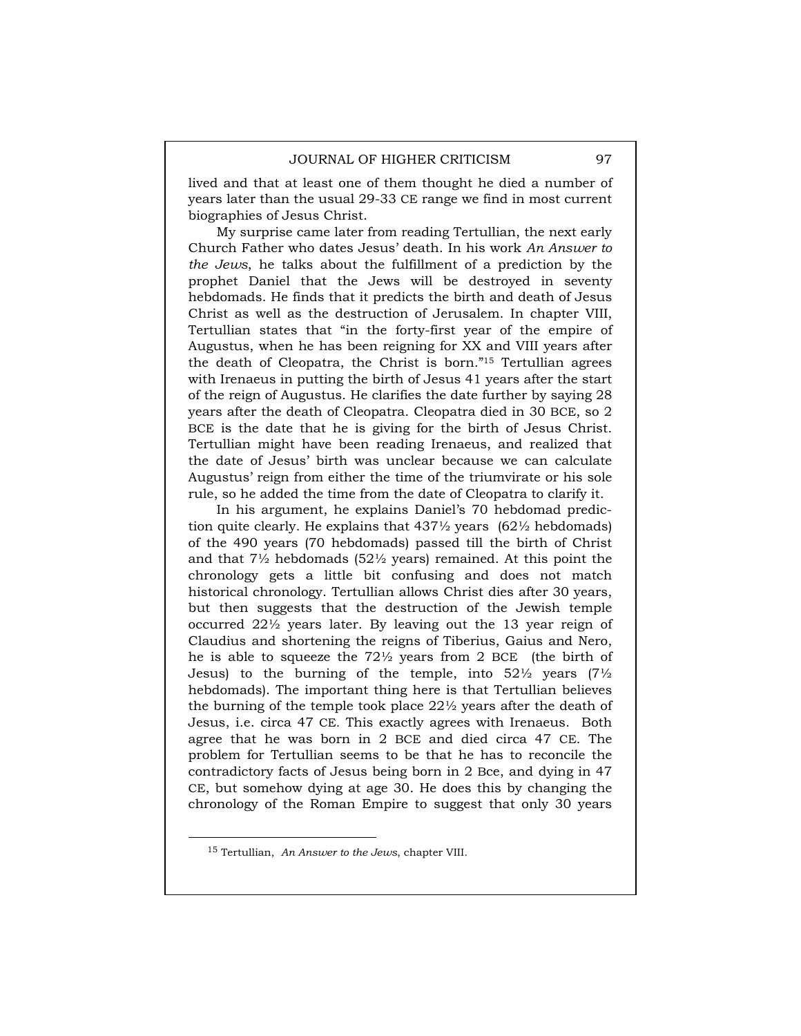lived and that at least one of them thought he died a number of years later than the usual 29-33 CE range we find in most current biographies of Jesus Christ.

My surprise came later from reading Tertullian, the next early Church Father who dates Jesus' death. In his work *An Answer to the Jews*, he talks about the fulfillment of a prediction by the prophet Daniel that the Jews will be destroyed in seventy hebdomads. He finds that it predicts the birth and death of Jesus Christ as well as the destruction of Jerusalem. In chapter VIII, Tertullian states that "in the forty-first year of the empire of Augustus, when he has been reigning for XX and VIII years after the death of Cleopatra, the Christ is born."[15](#page-3-0) Tertullian agrees with Irenaeus in putting the birth of Jesus 41 years after the start of the reign of Augustus. He clarifies the date further by saying 28 years after the death of Cleopatra. Cleopatra died in 30 BCE, so 2 BCE is the date that he is giving for the birth of Jesus Christ. Tertullian might have been reading Irenaeus, and realized that the date of Jesus' birth was unclear because we can calculate Augustus' reign from either the time of the triumvirate or his sole rule, so he added the time from the date of Cleopatra to clarify it.

In his argument, he explains Daniel's 70 hebdomad prediction quite clearly. He explains that  $437\frac{1}{2}$  years  $(62\frac{1}{2})$  hebdomads) of the 490 years (70 hebdomads) passed till the birth of Christ and that  $7\frac{1}{2}$  hebdomads (52 $\frac{1}{2}$  years) remained. At this point the chronology gets a little bit confusing and does not match historical chronology. Tertullian allows Christ dies after 30 years, but then suggests that the destruction of the Jewish temple occurred 22½ years later. By leaving out the 13 year reign of Claudius and shortening the reigns of Tiberius, Gaius and Nero, he is able to squeeze the 72½ years from 2 BCE (the birth of Jesus) to the burning of the temple, into  $52\frac{1}{2}$  years (7<sup>1</sup>/<sub>2</sub>) hebdomads). The important thing here is that Tertullian believes the burning of the temple took place 22½ years after the death of Jesus, i.e. circa 47 CE. This exactly agrees with Irenaeus. Both agree that he was born in 2 BCE and died circa 47 CE. The problem for Tertullian seems to be that he has to reconcile the contradictory facts of Jesus being born in 2 Bce, and dying in 47 CE, but somehow dying at age 30. He does this by changing the chronology of the Roman Empire to suggest that only 30 years

<span id="page-3-0"></span> <sup>15</sup> Tertullian, *An Answer to the Jews*, chapter VIII.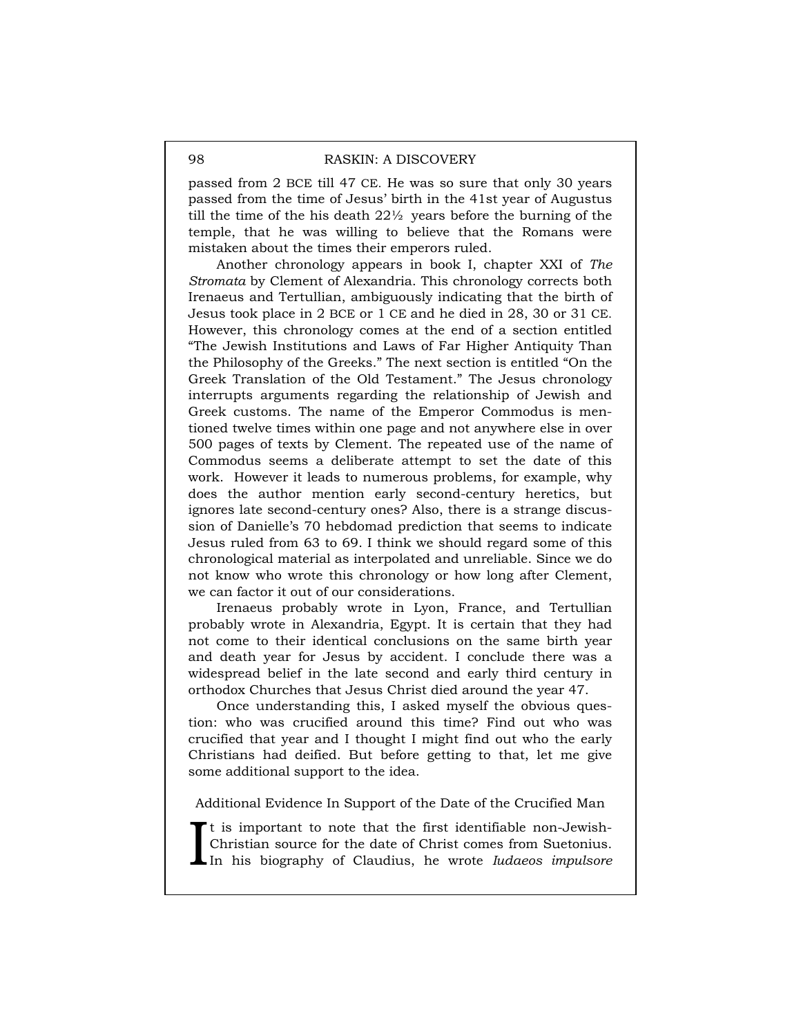passed from 2 BCE till 47 CE. He was so sure that only 30 years passed from the time of Jesus' birth in the 41st year of Augustus till the time of the his death 22½ years before the burning of the temple, that he was willing to believe that the Romans were mistaken about the times their emperors ruled.

Another chronology appears in book I, chapter XXI of *The Stromata* by Clement of Alexandria. This chronology corrects both Irenaeus and Tertullian, ambiguously indicating that the birth of Jesus took place in 2 BCE or 1 CE and he died in 28, 30 or 31 CE. However, this chronology comes at the end of a section entitled "The Jewish Institutions and Laws of Far Higher Antiquity Than the Philosophy of the Greeks." The next section is entitled "On the Greek Translation of the Old Testament." The Jesus chronology interrupts arguments regarding the relationship of Jewish and Greek customs. The name of the Emperor Commodus is mentioned twelve times within one page and not anywhere else in over 500 pages of texts by Clement. The repeated use of the name of Commodus seems a deliberate attempt to set the date of this work. However it leads to numerous problems, for example, why does the author mention early second-century heretics, but ignores late second-century ones? Also, there is a strange discussion of Danielle's 70 hebdomad prediction that seems to indicate Jesus ruled from 63 to 69. I think we should regard some of this chronological material as interpolated and unreliable. Since we do not know who wrote this chronology or how long after Clement, we can factor it out of our considerations.

Irenaeus probably wrote in Lyon, France, and Tertullian probably wrote in Alexandria, Egypt. It is certain that they had not come to their identical conclusions on the same birth year and death year for Jesus by accident. I conclude there was a widespread belief in the late second and early third century in orthodox Churches that Jesus Christ died around the year 47.

Once understanding this, I asked myself the obvious question: who was crucified around this time? Find out who was crucified that year and I thought I might find out who the early Christians had deified. But before getting to that, let me give some additional support to the idea.

Ad ditional Evidence In Support of the Date of the Crucified Man

It is important to note that the first identifiable non-Jewish-Christian source for the date of Christ comes from Suetonius.<br>In his biography of Claudius, he wrote *Iudaeos impulsore* t is important to note that the first identifiable non-Jewish-Christian source for the date of Christ comes from Suetonius.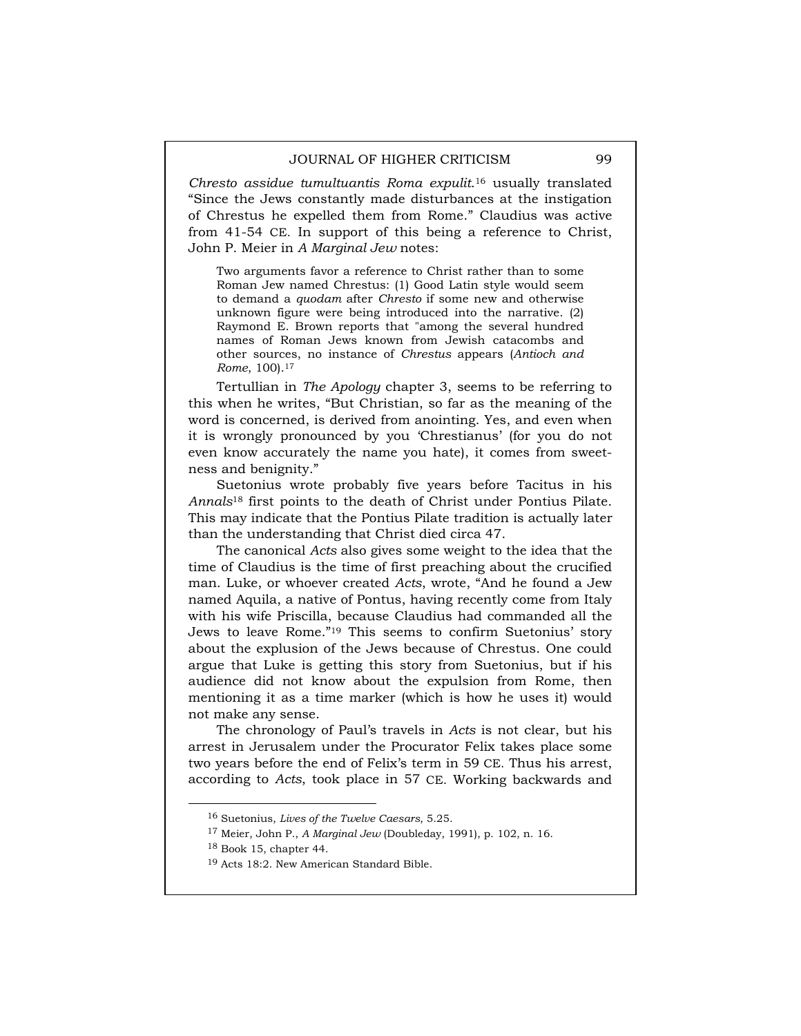*Chresto assidue tumultuantis Roma expulit*[.16](#page-5-0) usually translated "Since the Jews constantly made disturbances at the instigation of Chrestus he expelled them from Rome." Claudius was active from 41-54 CE. In support of this being a reference to Christ, John P. Meier in *A Marginal Jew* notes:

Two arguments favor a reference to Christ rather than to some Roman Jew named Chrestus: (1) Good Latin style would seem to demand a *quodam* after *Chresto* if some new and otherwise unknown figure were being introduced into the narrative. (2) Raymond E. Brown reports that "among the several hundred names of Roman Jews known from Jewish catacombs and other sources, no instance of *Chrestus* appears (*Antioch and Rome*, 100).[17](#page-5-1) 

Tertullian in *The Apology* chapter 3, seems to be referring to this when he writes, "But Christian, so far as the meaning of the word is concerned, is derived from anointing. Yes, and even when it is wrongly pronounced by you 'Chrestianus' (for you do not even know accurately the name you hate), it comes from sweetness and benignity."

Suetonius wrote probably five years before Tacitus in his *Annals*[18](#page-5-2) first points to the death of Christ under Pontius Pilate. This may indicate that the Pontius Pilate tradition is actually later than the understanding that Christ died circa 47.

The canonical *Acts* also gives some weight to the idea that the time of Claudius is the time of first preaching about the crucified man. Luke, or whoever created *Acts*, wrote, "And he found a Jew named Aquila, a native of Pontus, having recently come from Italy with his wife Priscilla, because Claudius had commanded all the Jews to leave Rome."[19](#page-5-3) This seems to confirm Suetonius' story about the explusion of the Jews because of Chrestus. One could argue that Luke is getting this story from Suetonius, but if his audience did not know about the expulsion from Rome, then mentioning it as a time marker (which is how he uses it) would not make any sense.

The chronology of Paul's travels in *Acts* is not clear, but his arrest in Jerusalem under the Procurator Felix takes place some two years before the end of Felix's term in 59 CE. Thus his arrest, according to *Acts*, took place in 57 CE. Working backwards and

<span id="page-5-0"></span> <sup>16</sup> Suetonius, *Lives of the Twelve Caesars*, 5.25.

<span id="page-5-1"></span><sup>17</sup> Meier, John P., *A Marginal Jew* (Doubleday, 1991), p. 102, n. 16.

<span id="page-5-2"></span><sup>18</sup> Book 15, chapter 44.

<span id="page-5-3"></span><sup>19</sup> Acts 18:2. New American Standard Bible.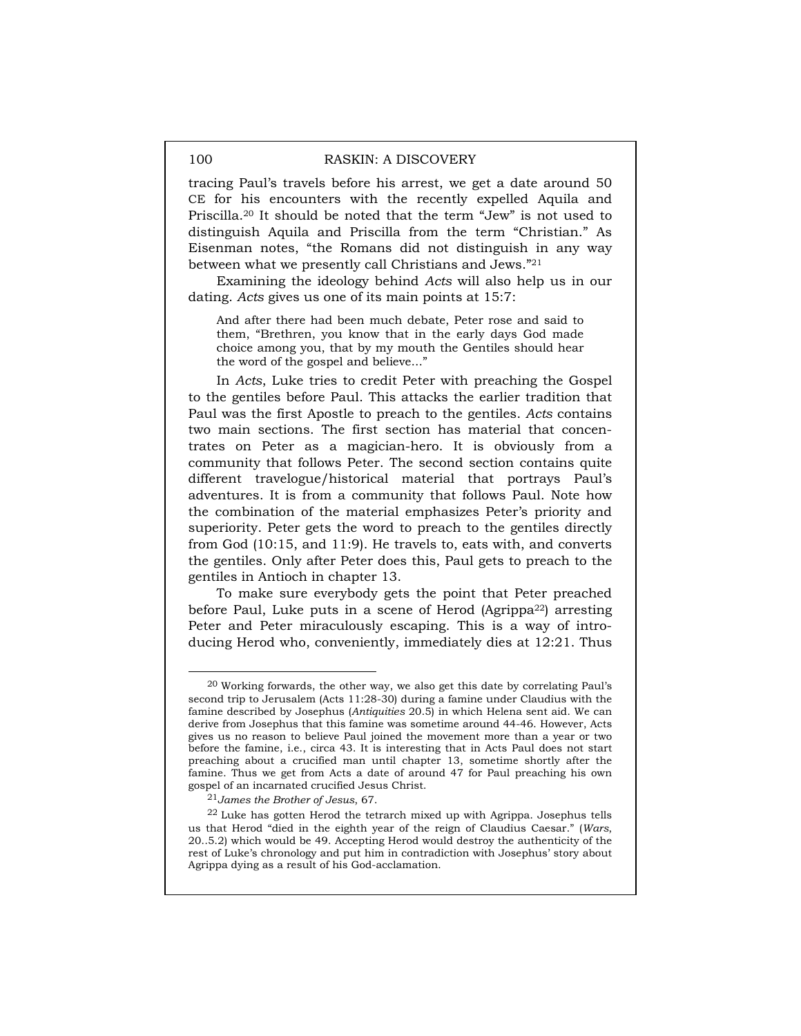tracing Paul's travels before his arrest, we get a date around 50 CE for his encounters with the recently expelled Aquila and Priscilla[.20](#page-6-0) It should be noted that the term "Jew" is not used to distinguish Aquila and Priscilla from the term "Christian." As Eisenman notes, "the Romans did not distinguish in any way between what we presently call Christians and Jews.["21](#page-6-1) 

Examining the ideology behind *Acts* will also help us in our dating. *Acts* gives us one of its main points at 15:7:

And after there had been much debate, Peter rose and said to them, "Brethren, you know that in the early days God made choice among you, that by my mouth the Gentiles should hear the word of the gospel and believe..."

In *Acts*, Luke tries to credit Peter with preaching the Gospel to the gentiles before Paul. This attacks the earlier tradition that Paul was the first Apostle to preach to the gentiles. *Acts* contains two main sections. The first section has material that concentrates on Peter as a magician-hero. It is obviously from a community that follows Peter. The second section contains quite different travelogue/historical material that portrays Paul's adventures. It is from a community that follows Paul. Note how the combination of the material emphasizes Peter's priority and superiority. Peter gets the word to preach to the gentiles directly from God (10:15, and 11:9). He travels to, eats with, and converts the gentiles. Only after Peter does this, Paul gets to preach to the gentiles in Antioch in chapter 13.

To make sure everybody gets the point that Peter preached before Paul, Luke puts in a scene of Herod (Agrippa<sup>22</sup>) arresting Peter and Peter miraculously escaping. This is a way of introducing Herod who, conveniently, immediately dies at 12:21. Thus

<span id="page-6-0"></span> $20$  Working forwards, the other way, we also get this date by correlating Paul's second trip to Jerusalem (Acts 11:28-30) during a famine under Claudius with the famine described by Josephus (*Antiquities* 20.5) in which Helena sent aid. We can derive from Josephus that this famine was sometime around 44-46. However, Acts gives us no reason to believe Paul joined the movement more than a year or two before the famine, i.e., circa 43. It is interesting that in Acts Paul does not start preaching about a crucified man until chapter 13, sometime shortly after the famine. Thus we get from Acts a date of around 47 for Paul preaching his own gospel of an incarnated crucified Jesus Christ.

<span id="page-6-2"></span><span id="page-6-1"></span><sup>21</sup>*James the Brother of Jesus*, 67.

<sup>22</sup> Luke has gotten Herod the tetrarch mixed up with Agrippa. Josephus tells us that Herod "died in the eighth year of the reign of Claudius Caesar." (*Wars*, 20..5.2) which would be 49. Accepting Herod would destroy the authenticity of the rest of Luke's chronology and put him in contradiction with Josephus' story about Agrippa dying as a result of his God-acclamation.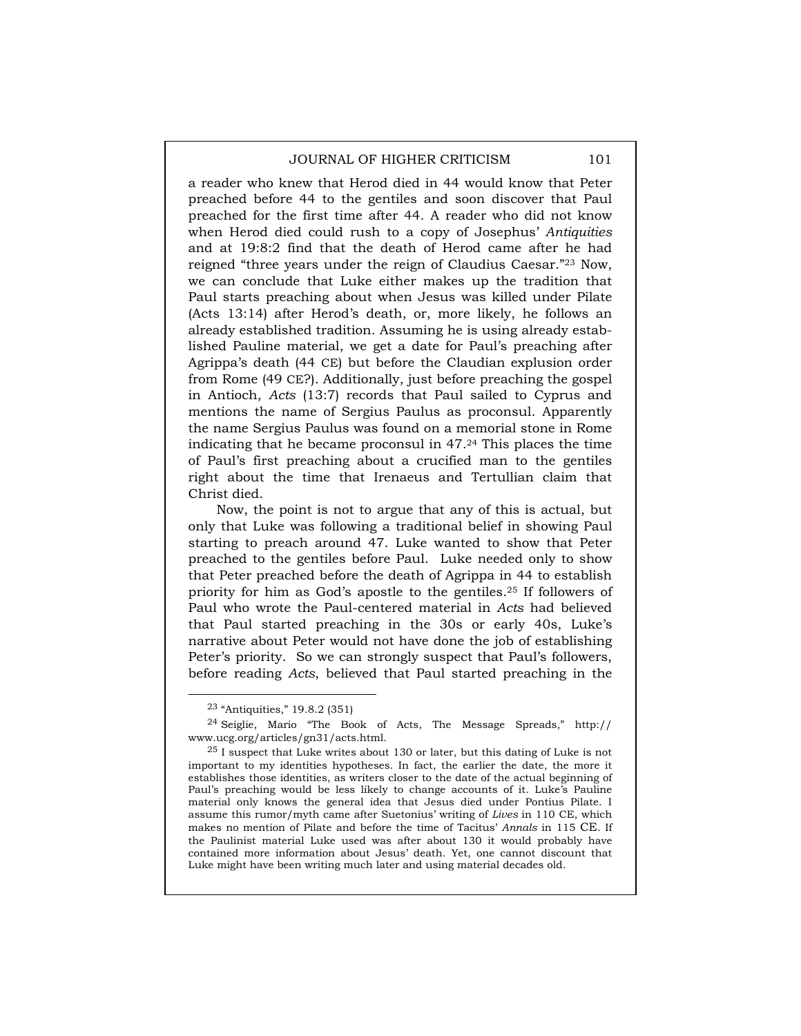a reader who knew that Herod died in 44 would know that Peter preached before 44 to the gentiles and soon discover that Paul preached for the first time after 44. A reader who did not know when Herod died could rush to a copy of Josephus' *Antiquities* and at 19:8:2 find that the death of Herod came after he had reigned "three years under the reign of Claudius Caesar."[23](#page-7-0) Now, we can conclude that Luke either makes up the tradition that Paul starts preaching about when Jesus was killed under Pilate (Acts 13:14) after Herod's death, or, more likely, he follows an already established tradition. Assuming he is using already established Pauline material, we get a date for Paul's preaching after Agrippa's death (44 CE) but before the Claudian explusion order from Rome (49 CE?). Additionally, just before preaching the gospel in Antioch, *Acts* (13:7) records that Paul sailed to Cyprus and mentions the name of Sergius Paulus as proconsul. Apparently the name Sergius Paulus was found on a memorial stone in Rome indicating that he became proconsul in 47.[24](#page-7-1) This places the time of Paul's first preaching about a crucified man to the gentiles right about the time that Irenaeus and Tertullian claim that Christ died.

Now, the point is not to argue that any of this is actual, but only that Luke was following a traditional belief in showing Paul starting to preach around 47. Luke wanted to show that Peter preached to the gentiles before Paul. Luke needed only to show that Peter preached before the death of Agrippa in 44 to establish priority for him as God's apostle to the gentiles.[25](#page-7-2) If followers of Paul who wrote the Paul-centered material in *Acts* had believed that Paul started preaching in the 30s or early 40s, Luke's narrative about Peter would not have done the job of establishing Peter's priority. So we can strongly suspect that Paul's followers, before reading *Acts*, believed that Paul started preaching in the

<span id="page-7-1"></span><span id="page-7-0"></span> <sup>23 &</sup>quot;Antiquities," 19.8.2 (351)

<sup>24</sup> Seiglie, Mario "The Book of Acts, The Message Spreads," http:// www.ucg.org/articles/gn31/acts.html.

<span id="page-7-2"></span> $25$  I suspect that Luke writes about 130 or later, but this dating of Luke is not important to my identities hypotheses. In fact, the earlier the date, the more it establishes those identities, as writers closer to the date of the actual beginning of Paul's preaching would be less likely to change accounts of it. Luke's Pauline material only knows the general idea that Jesus died under Pontius Pilate. I assume this rumor/myth came after Suetonius' writing of *Lives* in 110 CE, which makes no mention of Pilate and before the time of Tacitus' *Annals* in 115 CE. If the Paulinist material Luke used was after about 130 it would probably have contained more information about Jesus' death. Yet, one cannot discount that Luke might have been writing much later and using material decades old.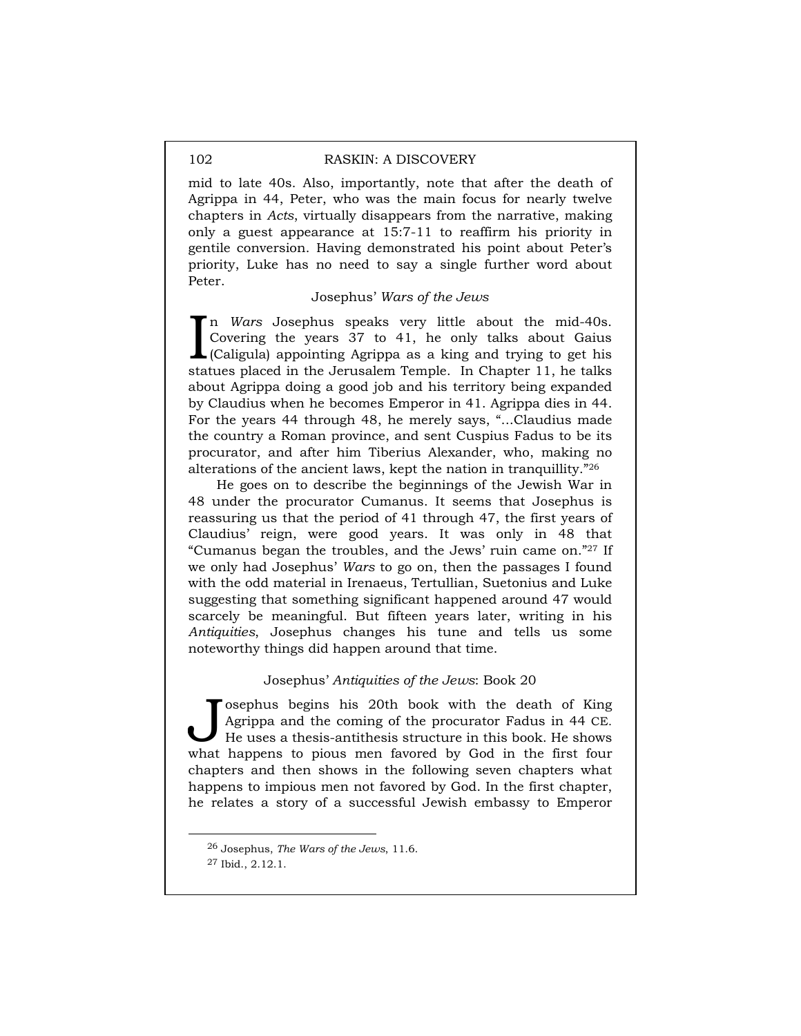mid to late 40s. Also, importantly, note that after the death of Agrippa in 44, Peter, who was the main focus for nearly twelve chapters in *Acts*, virtually disappears from the narrative, making only a guest appearance at 15:7-11 to reaffirm his priority in gentile conversion. Having demonstrated his point about Peter's priority, Luke has no need to say a single further word about Peter.

## Josephus' *Wars of the Jews*

In Wars Josephus speaks very little about the mid-40s.<br>Covering the years 37 to 41, he only talks about Gaius<br>(Caligula) appointing Agrippa as a king and trying to get his<br>statues placed in the Jerusalem Temple. In Chapter n *Wars* Josephus speaks very little about the mid-40s. Covering the years 37 to 41, he only talks about Gaius (Caligula) appointing Agrippa as a king and trying to get his about Agrippa doing a good job and his territory being expanded by Claudius when he becomes Emperor in 41. Agrippa dies in 44. For the years 44 through 48, he merely says, "...Claudius made the country a Roman province, and sent Cuspius Fadus to be its procurator, and after him Tiberius Alexander, who, making no alterations of the ancient laws, kept the nation in tranquillity.["26](#page-8-0)

He goes on to describe the beginnings of the Jewish War in 48 under the procurator Cumanus. It seems that Josephus is reassuring us that the period of 41 through 47, the first years of Claudius' reign, were good years. It was only in 48 that "Cumanus began the troubles, and the Jews' ruin came on.["27](#page-8-1) If we only had Josephus' *Wars* to go on, then the passages I found with the odd material in Irenaeus, Tertullian, Suetonius and Luke suggesting that something significant happened around 47 would scarcely be meaningful. But fifteen years later, writing in his *Antiquities*, Josephus changes his tune and tells us some noteworthy things did happen around that time.

## Josephus' *Antiquities of the Jews*: Book 20

osephus begins his 20th book with the death of King Agrippa and the coming of the procurator Fadus in 44 CE. He uses a thesis-antithesis structure in this book. He shows what happens to pious men favored by God in the first four chapters and then shows in the following seven chapters what happens to impious men not favored by God. In the first chapter, he relates a story of a successful Jewish embassy to Emperor

<span id="page-8-0"></span> <sup>26</sup> Josephus, *The Wars of the Jews*, 11.6.

<span id="page-8-1"></span><sup>27</sup> Ibid., 2.12.1.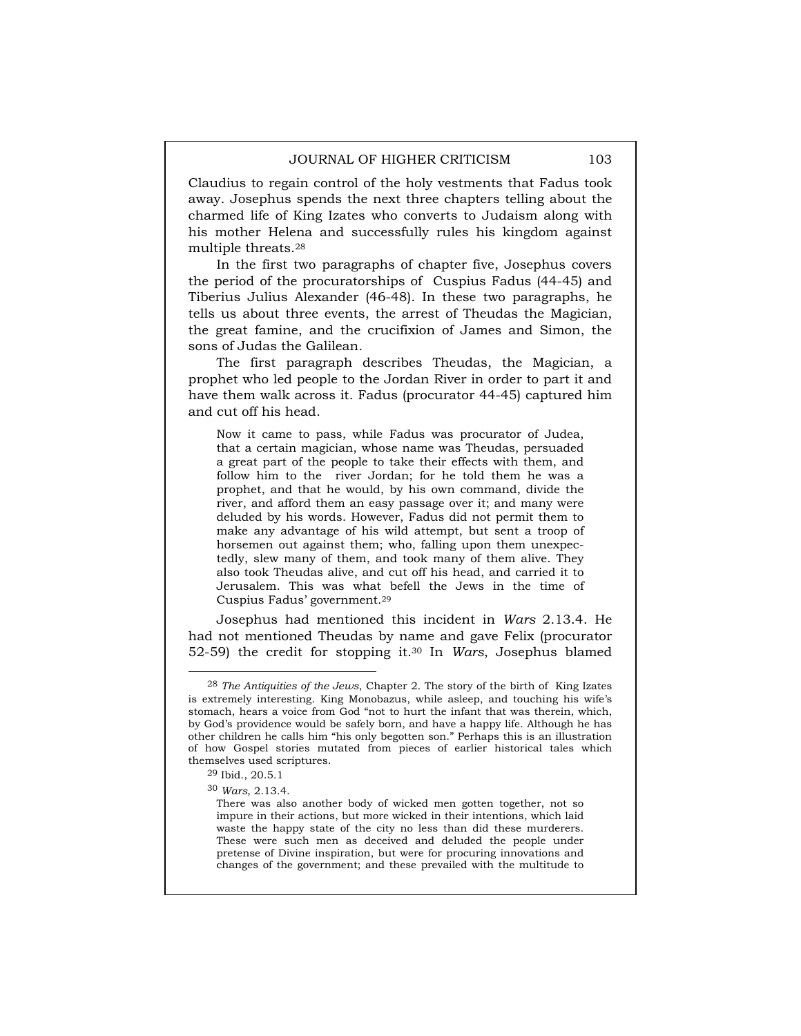Claudius to regain control of the holy vestments that Fadus took away. Josephus spends the next three chapters telling about the charmed life of King Izates who converts to Judaism along with his mother Helena and successfully rules his kingdom against multiple threats.[28](#page-9-0) 

In the first two paragraphs of chapter five, Josephus covers the period of the procuratorships of Cuspius Fadus (44-45) and Tiberius Julius Alexander (46-48). In these two paragraphs, he tells us about three events, the arrest of Theudas the Magician, the great famine, and the crucifixion of James and Simon, the sons of Judas the Galilean.

The first paragraph describes Theudas, the Magician, a prophet who led people to the Jordan River in order to part it and have them walk across it. Fadus (procurator 44-45) captured him and cut off his head.

Now it came to pass, while Fadus was procurator of Judea, that a certain magician, whose name was Theudas, persuaded a great part of the people to take their effects with them, and follow him to the river Jordan; for he told them he was a prophet, and that he would, by his own command, divide the river, and afford them an easy passage over it; and many were deluded by his words. However, Fadus did not permit them to make any advantage of his wild attempt, but sent a troop of horsemen out against them; who, falling upon them unexpectedly, slew many of them, and took many of them alive. They also took Theudas alive, and cut off his head, and carried it to Jerusalem. This was what befell the Jews in the time of Cuspius Fadus' government.[29](#page-9-1)

Josephus had mentioned this incident in *Wars* 2.13.4. He had not mentioned Theudas by name and gave Felix (procurator 52-59) the credit for stopping it.[30](#page-9-2) In *Wars*, Josephus blamed

<span id="page-9-0"></span> <sup>28</sup> *The Antiquities of the Jews*, Chapter 2. The story of the birth of King Izates is extremely interesting. King Monobazus, while asleep, and touching his wife's stomach, hears a voice from God "not to hurt the infant that was therein, which, by God's providence would be safely born, and have a happy life. Although he has other children he calls him "his only begotten son." Perhaps this is an illustration of how Gospel stories mutated from pieces of earlier historical tales which themselves used scriptures.

<span id="page-9-1"></span><sup>29</sup> Ibid., 20.5.1

<span id="page-9-2"></span><sup>30</sup> *Wars*, 2.13.4.

There was also another body of wicked men gotten together, not so impure in their actions, but more wicked in their intentions, which laid waste the happy state of the city no less than did these murderers. These were such men as deceived and deluded the people under pretense of Divine inspiration, but were for procuring innovations and changes of the government; and these prevailed with the multitude to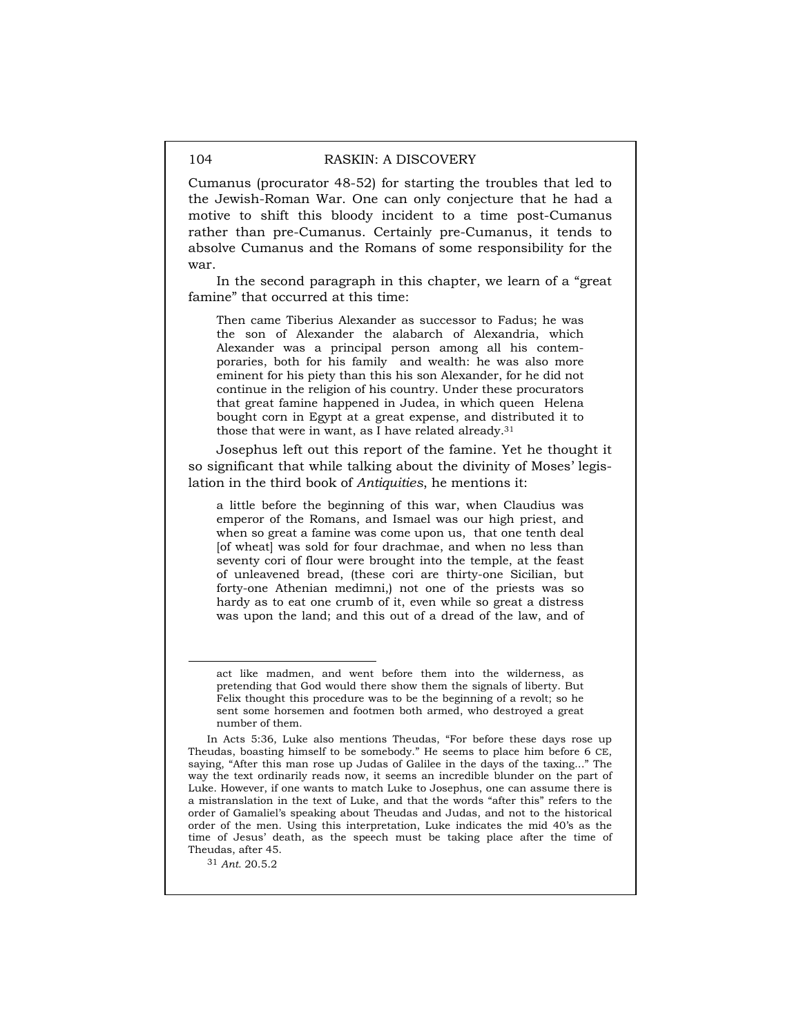Cumanus (procurator 48-52) for starting the troubles that led to the Jewish-Roman War. One can only conjecture that he had a motive to shift this bloody incident to a time post-Cumanus rather than pre-Cumanus. Certainly pre-Cumanus, it tends to absolve Cumanus and the Romans of some responsibility for the war.

In the second paragraph in this chapter, we learn of a "great famine" that occurred at this time:

Then came Tiberius Alexander as successor to Fadus; he was the son of Alexander the alabarch of Alexandria, which Alexander was a principal person among all his contemporaries, both for his family and wealth: he was also more eminent for his piety than this his son Alexander, for he did not continue in the religion of his country. Under these procurators that great famine happened in Judea, in which queen Helena bought corn in Egypt at a great expense, and distributed it to those that were in want, as I have related already.[31](#page-10-0) 

Josephus left out this report of the famine. Yet he thought it so significant that while talking about the divinity of Moses' legislation in the third book of *Antiquities*, he mentions it:

a little before the beginning of this war, when Claudius was emperor of the Romans, and Ismael was our high priest, and when so great a famine was come upon us, that one tenth deal [of wheat] was sold for four drachmae, and when no less than seventy cori of flour were brought into the temple, at the feast of unleavened bread, (these cori are thirty-one Sicilian, but forty-one Athenian medimni,) not one of the priests was so hardy as to eat one crumb of it, even while so great a distress was upon the land; and this out of a dread of the law, and of

l

act like madmen, and went before them into the wilderness, as pretending that God would there show them the signals of liberty. But Felix thought this procedure was to be the beginning of a revolt; so he sent some horsemen and footmen both armed, who destroyed a great number of them.

In Acts 5:36, Luke also mentions Theudas, "For before these days rose up Theudas, boasting himself to be somebody." He seems to place him before 6 CE, saying, "After this man rose up Judas of Galilee in the days of the taxing..." The way the text ordinarily reads now, it seems an incredible blunder on the part of Luke. However, if one wants to match Luke to Josephus, one can assume there is a mistranslation in the text of Luke, and that the words "after this" refers to the order of Gamaliel's speaking about Theudas and Judas, and not to the historical order of the men. Using this interpretation, Luke indicates the mid 40's as the time of Jesus' death, as the speech must be taking place after the time of Theudas, after 45.

<span id="page-10-0"></span><sup>31</sup> *Ant.* 20.5.2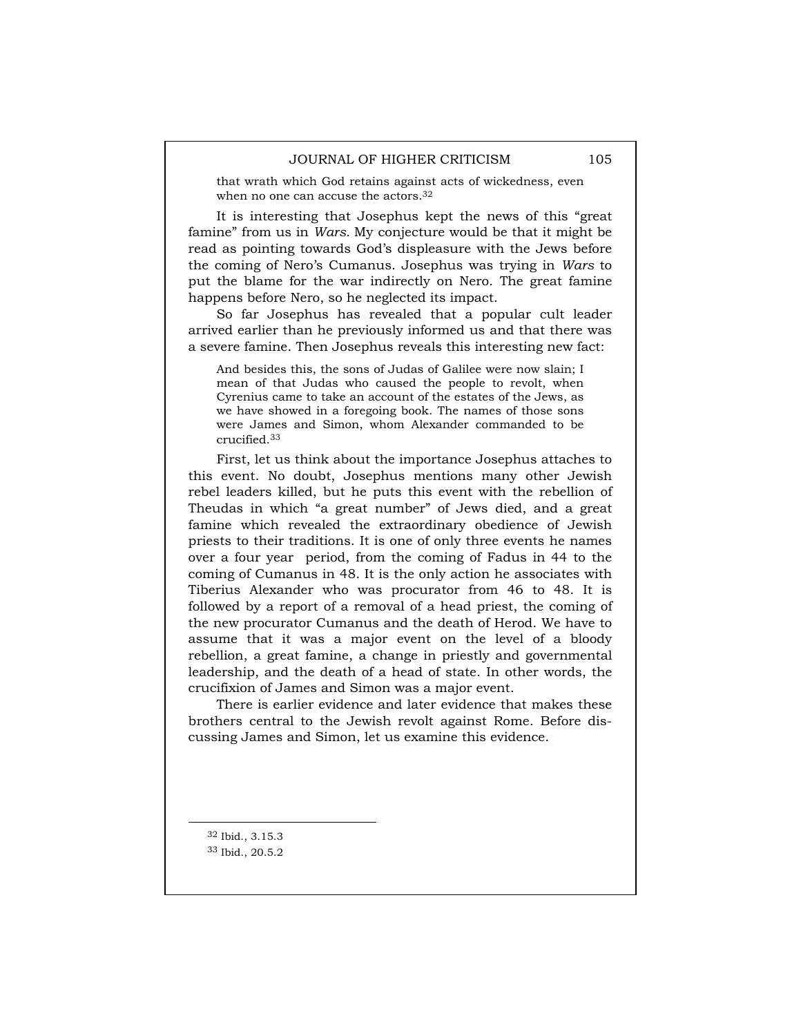that wrath which God retains against acts of wickedness, even when no one can accuse the actors.<sup>[32](#page-11-0)</sup>

It is interesting that Josephus kept the news of this "great famine" from us in *Wars.* My conjecture would be that it might be read as pointing towards God's displeasure with the Jews before the coming of Nero's Cumanus. Josephus was trying in *Wars* to put the blame for the war indirectly on Nero. The great famine happens before Nero, so he neglected its impact.

So far Josephus has revealed that a popular cult leader arrived earlier than he previously informed us and that there was a severe famine. Then Josephus reveals this interesting new fact:

And besides this, the sons of Judas of Galilee were now slain; I mean of that Judas who caused the people to revolt, when Cyrenius came to take an account of the estates of the Jews, as we have showed in a foregoing book. The names of those sons were James and Simon, whom Alexander commanded to be crucified.[33](#page-11-1)

First, let us think about the importance Josephus attaches to this event. No doubt, Josephus mentions many other Jewish rebel leaders killed, but he puts this event with the rebellion of Theudas in which "a great number" of Jews died, and a great famine which revealed the extraordinary obedience of Jewish priests to their traditions. It is one of only three events he names over a four year period, from the coming of Fadus in 44 to the coming of Cumanus in 48. It is the only action he associates with Tiberius Alexander who was procurator from 46 to 48. It is followed by a report of a removal of a head priest, the coming of the new procurator Cumanus and the death of Herod. We have to assume that it was a major event on the level of a bloody rebellion, a great famine, a change in priestly and governmental leadership, and the death of a head of state. In other words, the crucifixion of James and Simon was a major event.

There is earlier evidence and later evidence that makes these brothers central to the Jewish revolt against Rome. Before discussing James and Simon, let us examine this evidence.

<span id="page-11-1"></span><span id="page-11-0"></span> 32 Ibid., 3.15.3 33 Ibid., 20.5.2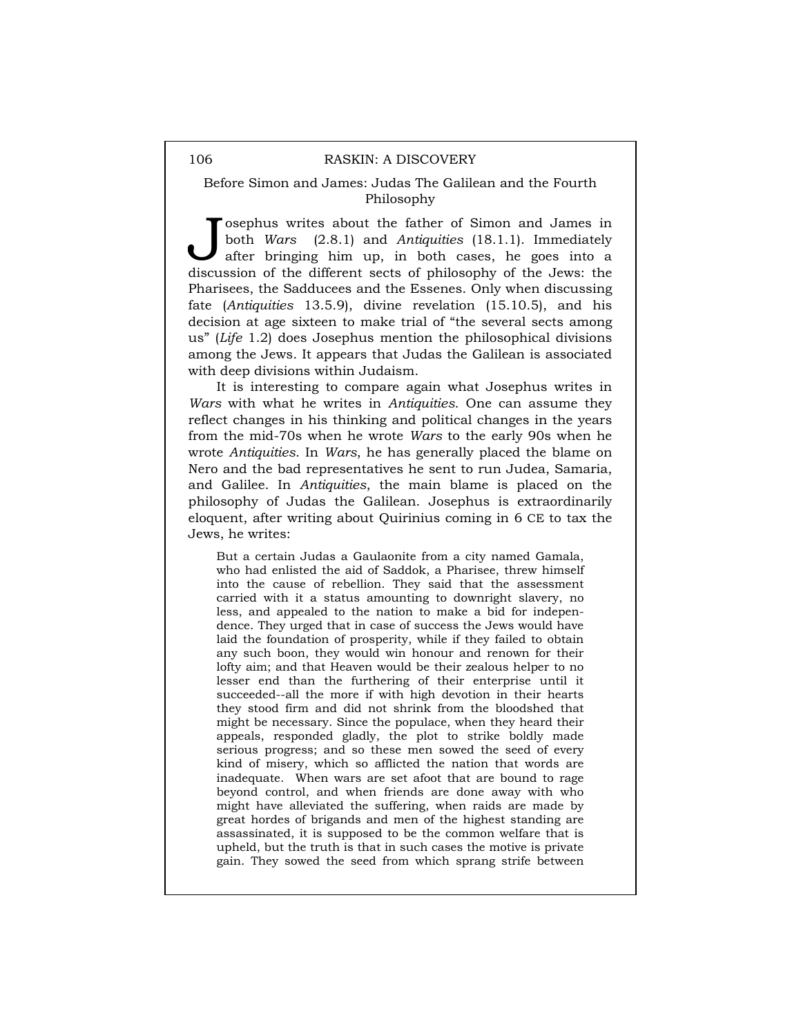Before Simon and James: Judas The Galilean and the Fourth Philosophy

osephus writes about the father of Simon and James in both *Wars* (2.8.1) and *Antiquities* (18.1.1). Immediately after bringing him up, in both cases, he goes into a discussion of the different sects of philosophy of the Jews: the Pharisees, the Sadducees and the Essenes. Only when discussing fate (*Antiquities* 13.5.9), divine revelation (15.10.5), and his decision at age sixteen to make trial of "the several sects among us" (*Life* 1.2) does Josephus mention the philosophical divisions among the Jews. It appears that Judas the Galilean is associated with deep divisions within Judaism.

It is interesting to compare again what Josephus writes in *Wars* with what he writes in *Antiquities*. One can assume they reflect changes in his thinking and political changes in the years from the mid-70s when he wrote *Wars* to the early 90s when he wrote *Antiquities*. In *Wars*, he has generally placed the blame on Nero and the bad representatives he sent to run Judea, Samaria, and Galilee. In *Antiquities*, the main blame is placed on the philosophy of Judas the Galilean. Josephus is extraordinarily eloquent, after writing about Quirinius coming in 6 CE to tax the Jews, he writes:

But a certain Judas a Gaulaonite from a city named Gamala, who had enlisted the aid of Saddok, a Pharisee, threw himself into the cause of rebellion. They said that the assessment carried with it a status amounting to downright slavery, no less, and appealed to the nation to make a bid for independence. They urged that in case of success the Jews would have laid the foundation of prosperity, while if they failed to obtain any such boon, they would win honour and renown for their lofty aim; and that Heaven would be their zealous helper to no lesser end than the furthering of their enterprise until it succeeded--all the more if with high devotion in their hearts they stood firm and did not shrink from the bloodshed that might be necessary. Since the populace, when they heard their appeals, responded gladly, the plot to strike boldly made serious progress; and so these men sowed the seed of every kind of misery, which so afflicted the nation that words are inadequate. When wars are set afoot that are bound to rage beyond control, and when friends are done away with who might have alleviated the suffering, when raids are made by great hordes of brigands and men of the highest standing are assassinated, it is supposed to be the common welfare that is upheld, but the truth is that in such cases the motive is private gain. They sowed the seed from which sprang strife between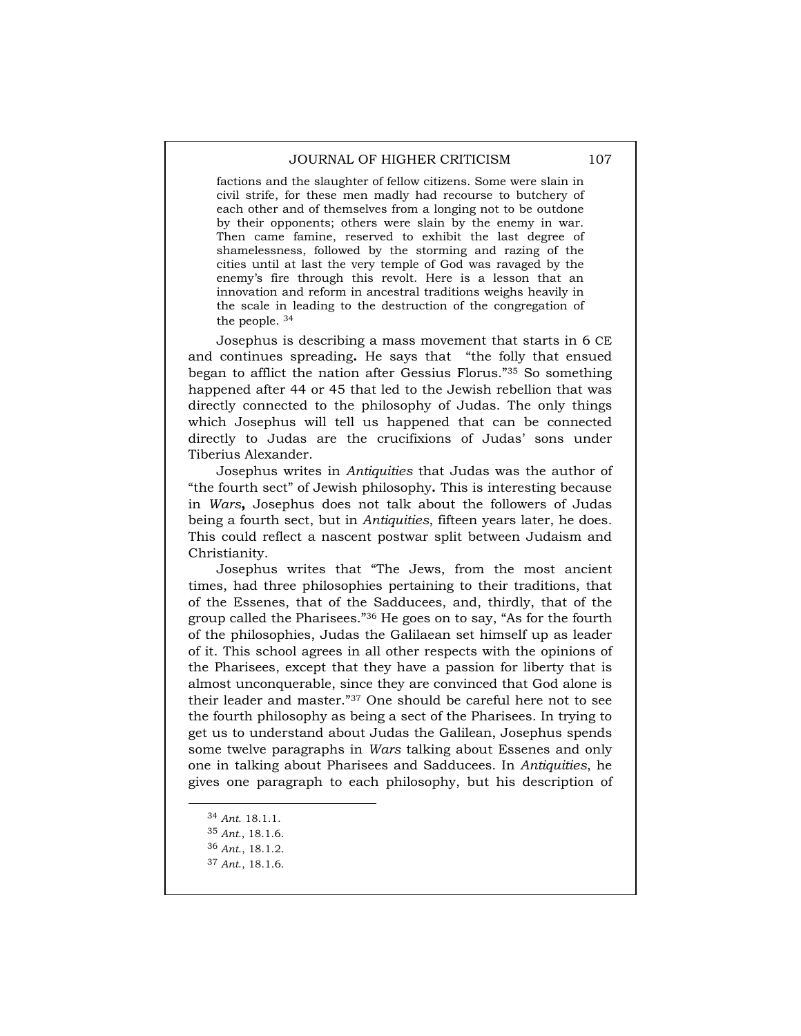factions and the slaughter of fellow citizens. Some were slain in civil strife, for these men madly had recourse to butchery of each other and of themselves from a longing not to be outdone by their opponents; others were slain by the enemy in war. Then came famine, reserved to exhibit the last degree of shamelessness, followed by the storming and razing of the cities until at last the very temple of God was ravaged by the enemy's fire through this revolt. Here is a lesson that an innovation and reform in ancestral traditions weighs heavily in the scale in leading to the destruction of the congregation of the people. [34](#page-13-0)

Josephus is describing a mass movement that starts in 6 CE and continues spreading**.** He says that "the folly that ensued began to afflict the nation after Gessius Florus."[35](#page-13-1) So something happened after 44 or 45 that led to the Jewish rebellion that was directly connected to the philosophy of Judas. The only things which Josephus will tell us happened that can be connected directly to Judas are the crucifixions of Judas' sons under Tiberius Alexander.

Josephus writes in *Antiquities* that Judas was the author of "the fourth sect" of Jewish philosophy**.** This is interesting because in *Wars***,** Josephus does not talk about the followers of Judas being a fourth sect, but in *Antiquities*, fifteen years later, he does. This could reflect a nascent postwar split between Judaism and Christianity.

Josephus writes that "The Jews, from the most ancient times, had three philosophies pertaining to their traditions, that of the Essenes, that of the Sadducees, and, thirdly, that of the group called the Pharisees.["36](#page-13-2) He goes on to say, "As for the fourth of the philosophies, Judas the Galilaean set himself up as leader of it. This school agrees in all other respects with the opinions of the Pharisees, except that they have a passion for liberty that is almost unconquerable, since they are convinced that God alone is their leader and master.["37](#page-13-3) One should be careful here not to see the fourth philosophy as being a sect of the Pharisees. In trying to get us to understand about Judas the Galilean, Josephus spends some twelve paragraphs in *Wars* talking about Essenes and only one in talking about Pharisees and Sadducees. In *Antiquities*, he gives one paragraph to each philosophy, but his description of

<span id="page-13-0"></span> <sup>34</sup> *Ant*. 18.1.1.

<span id="page-13-1"></span><sup>35</sup> *Ant.*, 18.1.6.

<span id="page-13-2"></span><sup>36</sup> *Ant*., 18.1.2.

<span id="page-13-3"></span><sup>37</sup> *Ant*., 18.1.6.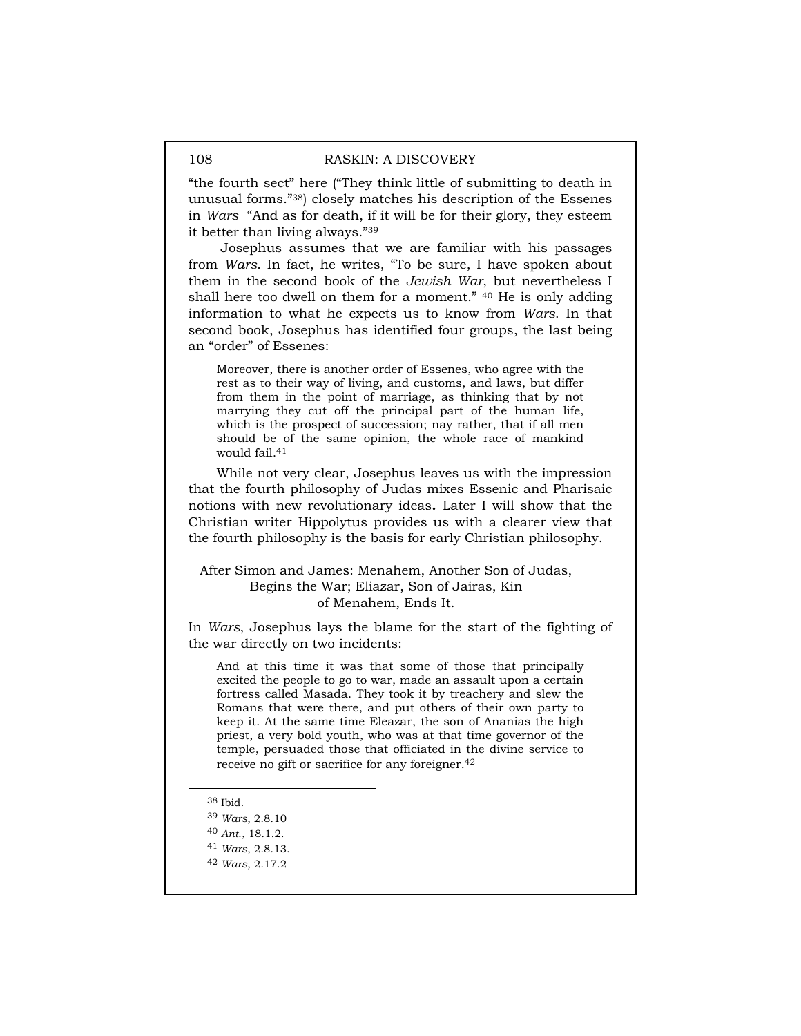"the fourth sect" here ("They think little of submitting to death in unusual forms.["38\)](#page-14-0) closely matches his description of the Essenes in *Wars* "And as for death, if it will be for their glory, they esteem it better than living always.["39](#page-14-1)

 Josephus assumes that we are familiar with his passages from *Wars*. In fact, he writes, "To be sure, I have spoken about them in the second book of the *Jewish War*, but nevertheless I shall here too dwell on them for a moment." [40](#page-14-2) He is only adding information to what he expects us to know from *Wars*. In that second book, Josephus has identified four groups, the last being an "order" of Essenes:

Moreover, there is another order of Essenes, who agree with the rest as to their way of living, and customs, and laws, but differ from them in the point of marriage, as thinking that by not marrying they cut off the principal part of the human life, which is the prospect of succession; nay rather, that if all men should be of the same opinion, the whole race of mankind would fail.<sup>41</sup>

While not very clear, Josephus leaves us with the impression that the fourth philosophy of Judas mixes Essenic and Pharisaic notions with new revolutionary ideas**.** Later I will show that the Christian writer Hippolytus provides us with a clearer view that the fourth philosophy is the basis for early Christian philosophy.

## After Simon and James: Menahem, Another Son of Judas, Begins the War; Eliazar, Son of Jairas, Kin of Menahem, Ends It.

In *Wars*, Josephus lays the blame for the start of the fighting of the war directly on two incidents:

And at this time it was that some of those that principally excited the people to go to war, made an assault upon a certain fortress called Masada. They took it by treachery and slew the Romans that were there, and put others of their own party to keep it. At the same time Eleazar, the son of Ananias the high priest, a very bold youth, who was at that time governor of the temple, persuaded those that officiated in the divine service to receive no gift or sacrifice for any foreigner[.42](#page-14-4)

<span id="page-14-0"></span> <sup>38</sup> Ibid.

<span id="page-14-1"></span><sup>39</sup> *Wars*, 2.8.10

<span id="page-14-2"></span><sup>40</sup> *Ant*., 18.1.2.

<span id="page-14-3"></span><sup>41</sup> *Wars*, 2.8.13.

<span id="page-14-4"></span><sup>42</sup> *Wars*, 2.17.2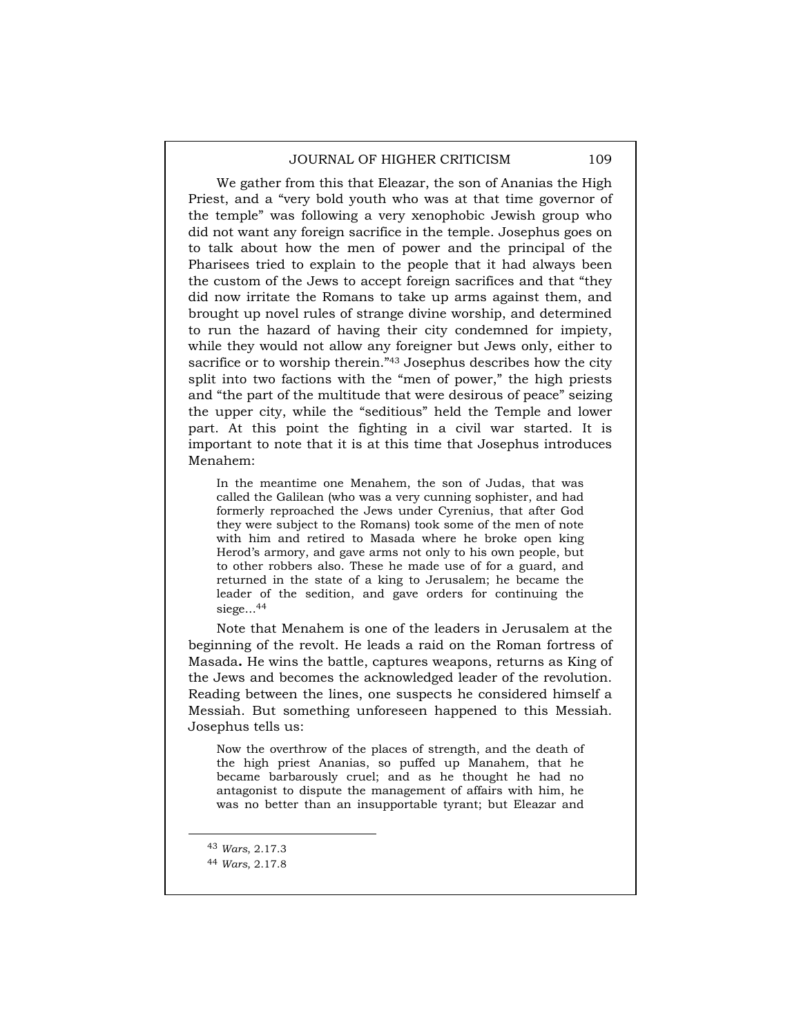We gather from this that Eleazar, the son of Ananias the High Priest, and a "very bold youth who was at that time governor of the temple" was following a very xenophobic Jewish group who did not want any foreign sacrifice in the temple. Josephus goes on to talk about how the men of power and the principal of the Pharisees tried to explain to the people that it had always been the custom of the Jews to accept foreign sacrifices and that "they did now irritate the Romans to take up arms against them, and brought up novel rules of strange divine worship, and determined to run the hazard of having their city condemned for impiety, while they would not allow any foreigner but Jews only, either to sacrifice or to worship therein."[43](#page-15-0) Josephus describes how the city split into two factions with the "men of power," the high priests and "the part of the multitude that were desirous of peace" seizing the upper city, while the "seditious" held the Temple and lower part. At this point the fighting in a civil war started. It is important to note that it is at this time that Josephus introduces Menahem:

In the meantime one Menahem, the son of Judas, that was called the Galilean (who was a very cunning sophister, and had formerly reproached the Jews under Cyrenius, that after God they were subject to the Romans) took some of the men of note with him and retired to Masada where he broke open king Herod's armory, and gave arms not only to his own people, but to other robbers also. These he made use of for a guard, and returned in the state of a king to Jerusalem; he became the leader of the sedition, and gave orders for continuing the siege...<sup>[44](#page-15-1)</sup>

Note that Menahem is one of the leaders in Jerusalem at the beginning of the revolt. He leads a raid on the Roman fortress of Masada**.** He wins the battle, captures weapons, returns as King of the Jews and becomes the acknowledged leader of the revolution. Reading between the lines, one suspects he considered himself a Messiah. But something unforeseen happened to this Messiah. Josephus tells us:

Now the overthrow of the places of strength, and the death of the high priest Ananias, so puffed up Manahem, that he became barbarously cruel; and as he thought he had no antagonist to dispute the management of affairs with him, he was no better than an insupportable tyrant; but Eleazar and

<span id="page-15-0"></span> <sup>43</sup> *Wars*, 2.17.3

<span id="page-15-1"></span><sup>44</sup> *Wars*, 2.17.8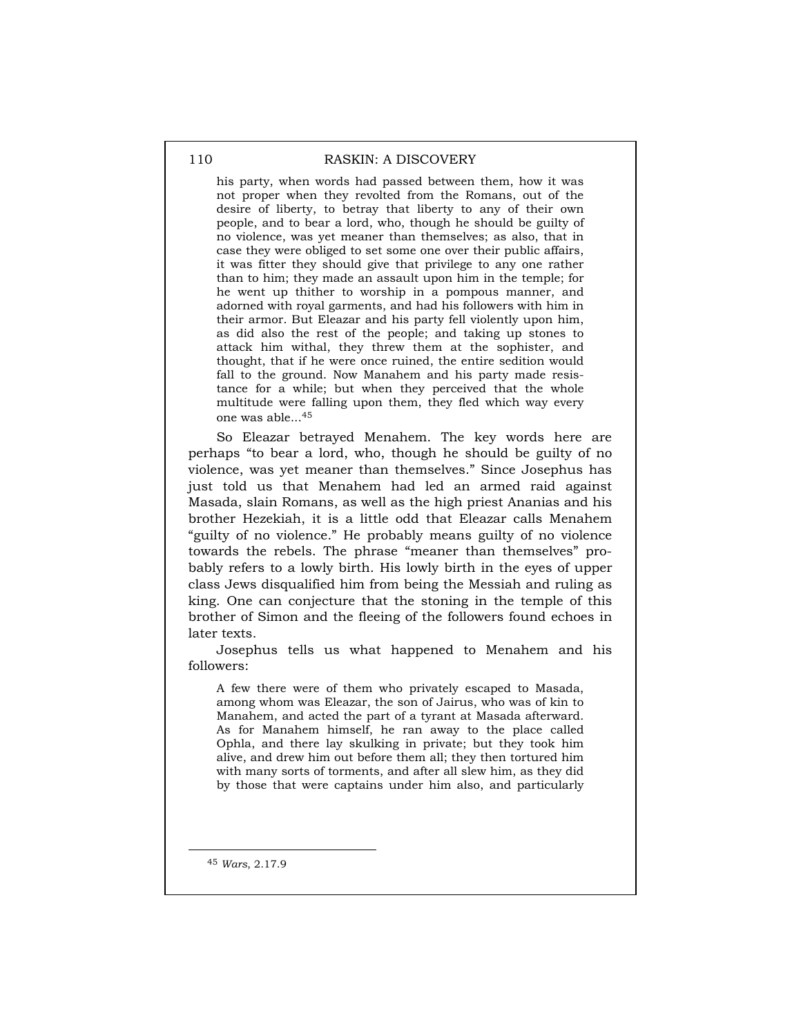his party, when words had passed between them, how it was not proper when they revolted from the Romans, out of the desire of liberty, to betray that liberty to any of their own people, and to bear a lord, who, though he should be guilty of no violence, was yet meaner than themselves; as also, that in case they were obliged to set some one over their public affairs, it was fitter they should give that privilege to any one rather than to him; they made an assault upon him in the temple; for he went up thither to worship in a pompous manner, and adorned with royal garments, and had his followers with him in their armor. But Eleazar and his party fell violently upon him, as did also the rest of the people; and taking up stones to attack him withal, they threw them at the sophister, and thought, that if he were once ruined, the entire sedition would fall to the ground. Now Manahem and his party made resistance for a while; but when they perceived that the whole multitude were falling upon them, they fled which way every one was able...[45](#page-16-0)

So Eleazar betrayed Menahem. The key words here are perhaps "to bear a lord, who, though he should be guilty of no violence, was yet meaner than themselves." Since Josephus has just told us that Menahem had led an armed raid against Masada, slain Romans, as well as the high priest Ananias and his brother Hezekiah, it is a little odd that Eleazar calls Menahem "guilty of no violence." He probably means guilty of no violence towards the rebels. The phrase "meaner than themselves" probably refers to a lowly birth. His lowly birth in the eyes of upper class Jews disqualified him from being the Messiah and ruling as king. One can conjecture that the stoning in the temple of this brother of Simon and the fleeing of the followers found echoes in later texts.

Josephus tells us what happened to Menahem and his followers:

A few there were of them who privately escaped to Masada, among whom was Eleazar, the son of Jairus, who was of kin to Manahem, and acted the part of a tyrant at Masada afterward. As for Manahem himself, he ran away to the place called Ophla, and there lay skulking in private; but they took him alive, and drew him out before them all; they then tortured him with many sorts of torments, and after all slew him, as they did by those that were captains under him also, and particularly

<span id="page-16-0"></span>45 *Wars*, 2.17.9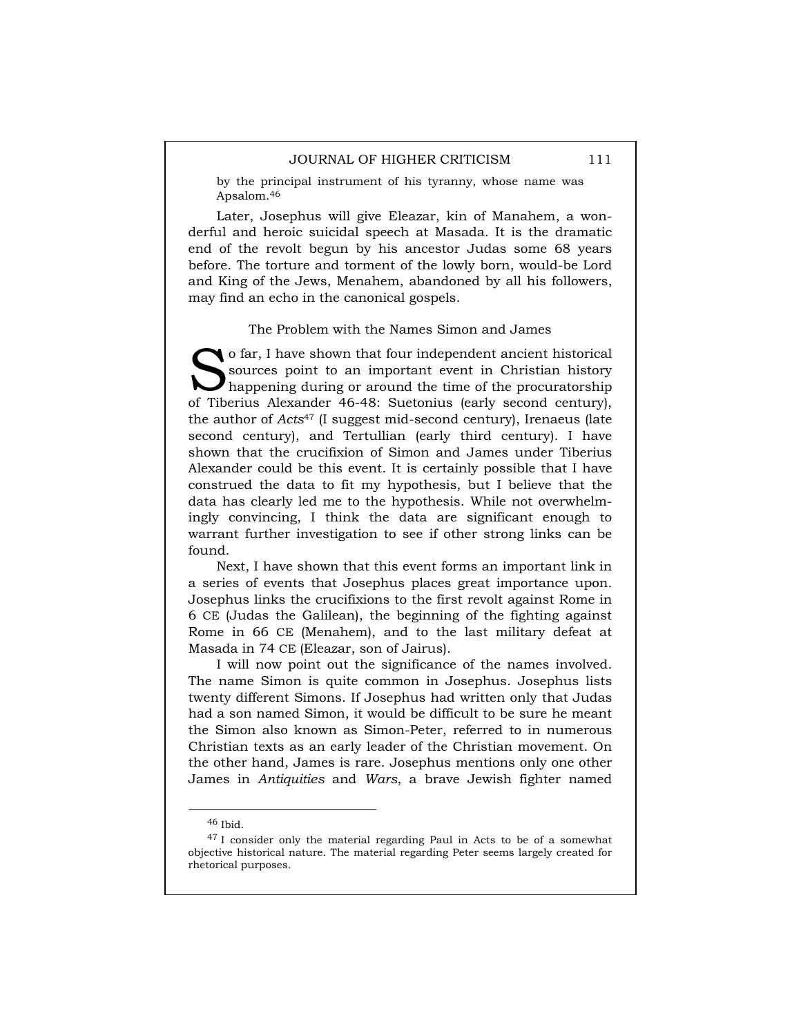by the principal instrument of his tyranny, whose name was Apsalom.[46](#page-17-0) 

Later, Josephus will give Eleazar, kin of Manahem, a wonderful and heroic suicidal speech at Masada. It is the dramatic end of the revolt begun by his ancestor Judas some 68 years before. The torture and torment of the lowly born, would-be Lord and King of the Jews, Menahem, abandoned by all his followers, may find an echo in the canonical gospels.

## The Problem with the Names Simon and James

So far, I have shown that four independent ancient historical<br>Sources point to an important event in Christian history<br>happening during or around the time of the procuratorship sources point to an important event in Christian history happening during or around the time of the procuratorship of Tiberius Alexander 46-48: Suetonius (early second century), the author of *Acts*[47](#page-17-1) (I suggest mid-second century), Irenaeus (late second century), and Tertullian (early third century). I have shown that the crucifixion of Simon and James under Tiberius Alexander could be this event. It is certainly possible that I have construed the data to fit my hypothesis, but I believe that the data has clearly led me to the hypothesis. While not overwhelmingly convincing, I think the data are significant enough to warrant further investigation to see if other strong links can be found.

Next, I have shown that this event forms an important link in a series of events that Josephus places great importance upon. Josephus links the crucifixions to the first revolt against Rome in 6 CE (Judas the Galilean), the beginning of the fighting against Rome in 66 CE (Menahem), and to the last military defeat at Masada in 74 CE (Eleazar, son of Jairus).

I will now point out the significance of the names involved. The name Simon is quite common in Josephus. Josephus lists twenty different Simons. If Josephus had written only that Judas had a son named Simon, it would be difficult to be sure he meant the Simon also known as Simon-Peter, referred to in numerous Christian texts as an early leader of the Christian movement. On the other hand, James is rare. Josephus mentions only one other James in *Antiquities* and *Wars*, a brave Jewish fighter named

<span id="page-17-1"></span><span id="page-17-0"></span> <sup>46</sup> Ibid.

<sup>47</sup> I consider only the material regarding Paul in Acts to be of a somewhat objective historical nature. The material regarding Peter seems largely created for rhetorical purposes.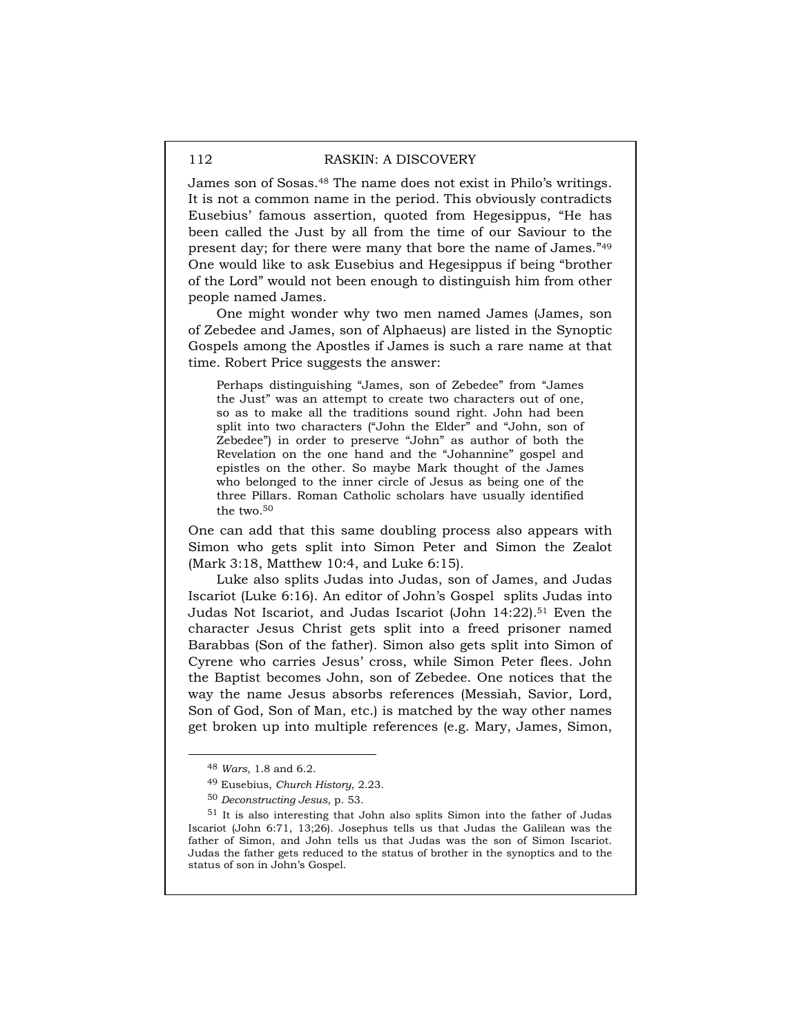James son of Sosas[.48](#page-18-0) The name does not exist in Philo's writings. It is not a common name in the period. This obviously contradicts Eusebius' famous assertion, quoted from Hegesippus, "He has been called the Just by all from the time of our Saviour to the present day; for there were many that bore the name of James."[49](#page-18-1)  One would like to ask Eusebius and Hegesippus if being "brother of the Lord" would not been enough to distinguish him from other people named James.

One might wonder why two men named James (James, son of Zebedee and James, son of Alphaeus) are listed in the Synoptic Gospels among the Apostles if James is such a rare name at that time. Robert Price suggests the answer:

Perhaps distinguishing "James, son of Zebedee" from "James the Just" was an attempt to create two characters out of one, so as to make all the traditions sound right. John had been split into two characters ("John the Elder" and "John, son of Zebedee") in order to preserve "John" as author of both the Revelation on the one hand and the "Johannine" gospel and epistles on the other. So maybe Mark thought of the James who belonged to the inner circle of Jesus as being one of the three Pillars. Roman Catholic scholars have usually identified the two.[50](#page-18-2)

One can add that this same doubling process also appears with Simon who gets split into Simon Peter and Simon the Zealot (Mark 3:18, Matthew 10:4, and Luke 6:15).

Luke also splits Judas into Judas, son of James, and Judas Iscariot (Luke 6:16). An editor of John's Gospel splits Judas into Judas Not Iscariot, and Judas Iscariot (John 14:22).<sup>51</sup> Even the character Jesus Christ gets split into a freed prisoner named Barabbas (Son of the father). Simon also gets split into Simon of Cyrene who carries Jesus' cross, while Simon Peter flees. John the Baptist becomes John, son of Zebedee. One notices that the way the name Jesus absorbs references (Messiah, Savior, Lord, Son of God, Son of Man, etc.) is matched by the way other names get broken up into multiple references (e.g. Mary, James, Simon,

<span id="page-18-0"></span> <sup>48</sup> *Wars*, 1.8 and 6.2.

<span id="page-18-1"></span><sup>49</sup> Eusebius, *Church History*, 2.23.

<span id="page-18-3"></span><span id="page-18-2"></span><sup>50</sup> *Deconstructing Jesus*, p. 53.

<sup>51</sup> It is also interesting that John also splits Simon into the father of Judas Iscariot (John 6:71, 13;26). Josephus tells us that Judas the Galilean was the father of Simon, and John tells us that Judas was the son of Simon Iscariot. Judas the father gets reduced to the status of brother in the synoptics and to the status of son in John's Gospel.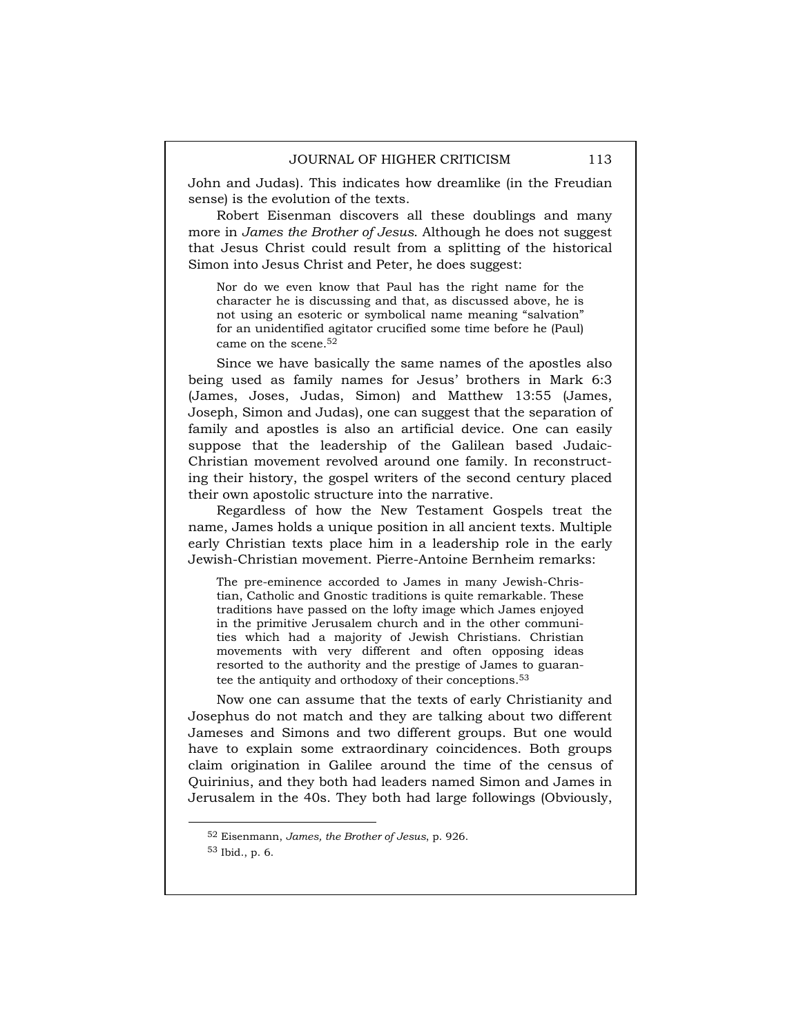John and Judas). This indicates how dreamlike (in the Freudian sense) is the evolution of the texts.

Robert Eisenman discovers all these doublings and many more in *James the Brother of Jesus*. Although he does not suggest that Jesus Christ could result from a splitting of the historical Simon into Jesus Christ and Peter, he does suggest:

Nor do we even know that Paul has the right name for the character he is discussing and that, as discussed above, he is not using an esoteric or symbolical name meaning "salvation" for an unidentified agitator crucified some time before he (Paul) came on the scene.[52](#page-19-0)

Since we have basically the same names of the apostles also being used as family names for Jesus' brothers in Mark 6:3 (James, Joses, Judas, Simon) and Matthew 13:55 (James, Joseph, Simon and Judas), one can suggest that the separation of family and apostles is also an artificial device. One can easily suppose that the leadership of the Galilean based Judaic-Christian movement revolved around one family. In reconstructing their history, the gospel writers of the second century placed their own apostolic structure into the narrative.

Regardless of how the New Testament Gospels treat the name, James holds a unique position in all ancient texts. Multiple early Christian texts place him in a leadership role in the early Jewish-Christian movement. Pierre-Antoine Bernheim remarks:

The pre-eminence accorded to James in many Jewish-Christian, Catholic and Gnostic traditions is quite remarkable. These traditions have passed on the lofty image which James enjoyed in the primitive Jerusalem church and in the other communities which had a majority of Jewish Christians. Christian movements with very different and often opposing ideas resorted to the authority and the prestige of James to guarantee the antiquity and orthodoxy of their conceptions.[53](#page-19-1)

Now one can assume that the texts of early Christianity and Josephus do not match and they are talking about two different Jameses and Simons and two different groups. But one would have to explain some extraordinary coincidences. Both groups claim origination in Galilee around the time of the census of Quirinius, and they both had leaders named Simon and James in Jerusalem in the 40s. They both had large followings (Obviously,

<span id="page-19-1"></span><span id="page-19-0"></span> <sup>52</sup> Eisenmann, *James, the Brother of Jesus*, p. 926. <sup>53</sup> Ibid., p. 6.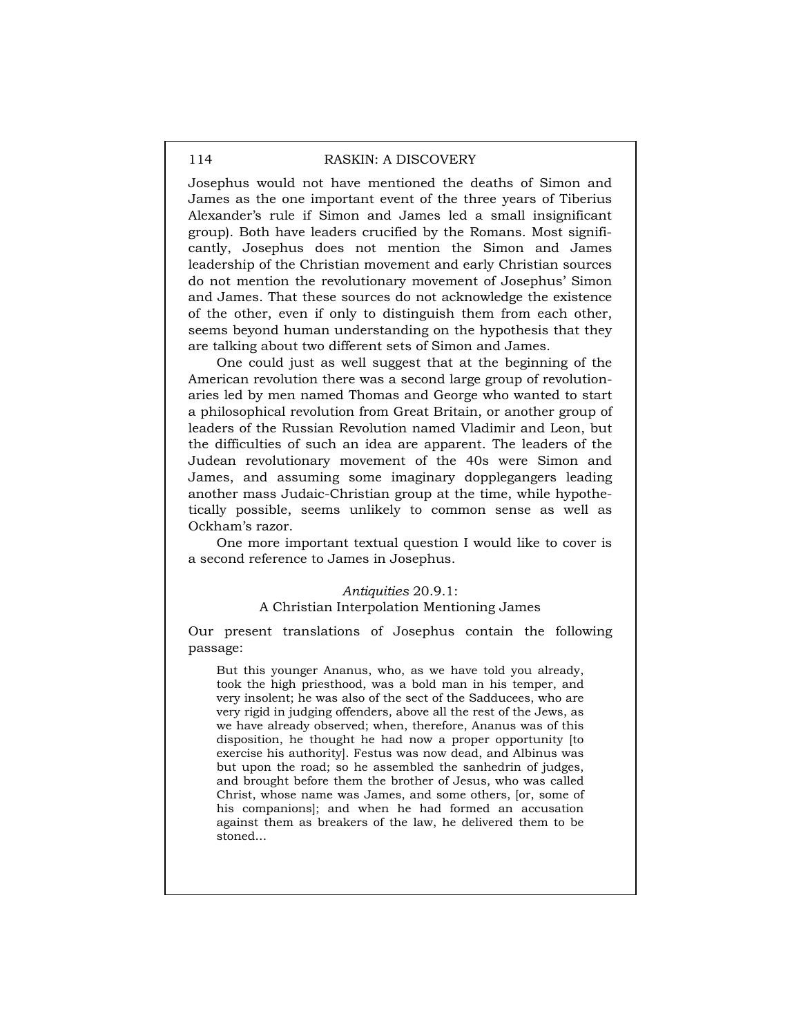Josephus would not have mentioned the deaths of Simon and James as the one important event of the three years of Tiberius Alexander's rule if Simon and James led a small insignificant group). Both have leaders crucified by the Romans. Most significantly, Josephus does not mention the Simon and James leadership of the Christian movement and early Christian sources do not mention the revolutionary movement of Josephus' Simon and James. That these sources do not acknowledge the existence of the other, even if only to distinguish them from each other, seems beyond human understanding on the hypothesis that they are talking about two different sets of Simon and James.

One could just as well suggest that at the beginning of the American revolution there was a second large group of revolutionaries led by men named Thomas and George who wanted to start a philosophical revolution from Great Britain, or another group of leaders of the Russian Revolution named Vladimir and Leon, but the difficulties of such an idea are apparent. The leaders of the Judean revolutionary movement of the 40s were Simon and James, and assuming some imaginary dopplegangers leading another mass Judaic-Christian group at the time, while hypothetically possible, seems unlikely to common sense as well as Ockham's razor.

One more important textual question I would like to cover is a second reference to James in Josephus.

## *Antiquities* 20.9.1:

## A Christian Interpolation Mentioning James

Our present translations of Josephus contain the following passage:

But this younger Ananus, who, as we have told you already, took the high priesthood, was a bold man in his temper, and very insolent; he was also of the sect of the Sadducees, who are very rigid in judging offenders, above all the rest of the Jews, as we have already observed; when, therefore, Ananus was of this disposition, he thought he had now a proper opportunity [to exercise his authority]. Festus was now dead, and Albinus was but upon the road; so he assembled the sanhedrin of judges, and brought before them the brother of Jesus, who was called Christ, whose name was James, and some others, [or, some of his companions]; and when he had formed an accusation against them as breakers of the law, he delivered them to be stoned…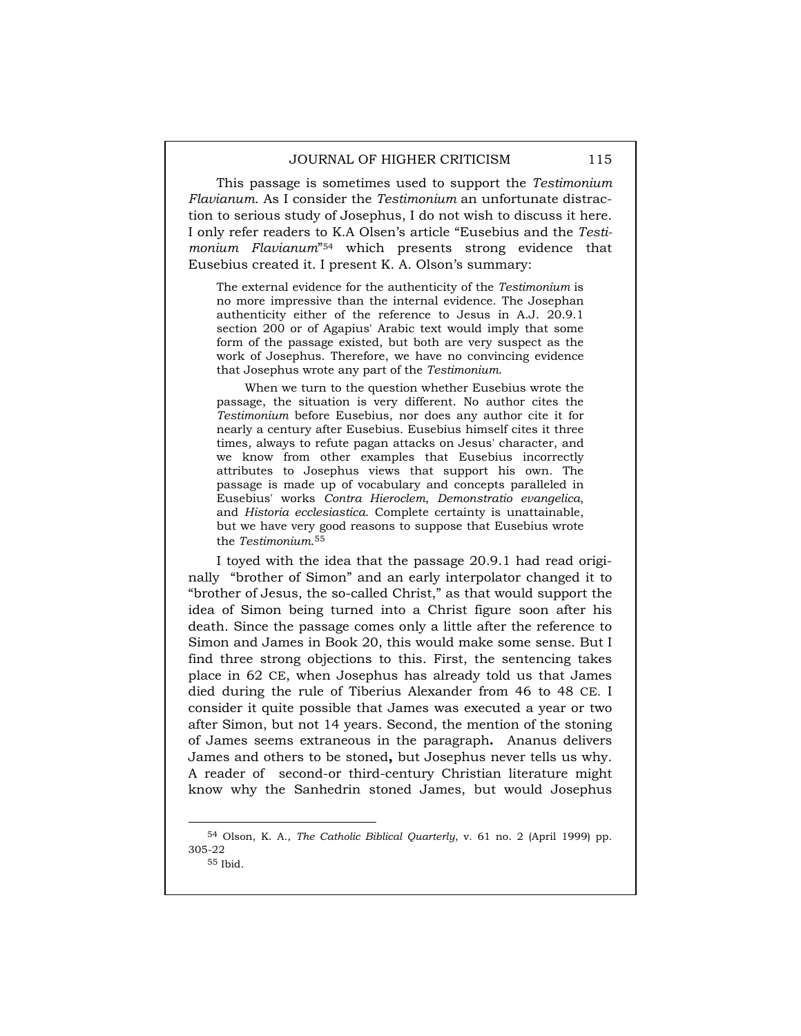This passage is sometimes used to support the *Testimonium Flavianum*. As I consider the *Testimonium* an unfortunate distraction to serious study of Josephus, I do not wish to discuss it here. I only refer readers to K.A Olsen's article "Eusebius and the *Testimonium Flavianum*"[54](#page-21-0) which presents strong evidence that Eusebius created it. I present K. A. Olson's summary:

The external evidence for the authenticity of the *Testimonium* is no more impressive than the internal evidence. The Josephan authenticity either of the reference to Jesus in A.J. 20.9.1 section 200 or of Agapius' Arabic text would imply that some form of the passage existed, but both are very suspect as the work of Josephus. Therefore, we have no convincing evidence that Josephus wrote any part of the *Testimonium*.

When we turn to the question whether Eusebius wrote the passage, the situation is very different. No author cites the *Testimonium* before Eusebius, nor does any author cite it for nearly a century after Eusebius. Eusebius himself cites it three times, always to refute pagan attacks on Jesus' character, and we know from other examples that Eusebius incorrectly attributes to Josephus views that support his own. The passage is made up of vocabulary and concepts paralleled in Eusebius' works *Contra Hieroclem*, *Demonstratio evangelica*, and *Historia ecclesiastica*. Complete certainty is unattainable, but we have very good reasons to suppose that Eusebius wrote the *Testimonium*[.55](#page-21-1) 

I toyed with the idea that the passage 20.9.1 had read originally "brother of Simon" and an early interpolator changed it to "brother of Jesus, the so-called Christ," as that would support the idea of Simon being turned into a Christ figure soon after his death. Since the passage comes only a little after the reference to Simon and James in Book 20, this would make some sense. But I find three strong objections to this. First, the sentencing takes place in 62 CE, when Josephus has already told us that James died during the rule of Tiberius Alexander from 46 to 48 CE. I consider it quite possible that James was executed a year or two after Simon, but not 14 years. Second, the mention of the stoning of James seems extraneous in the paragraph**.** Ananus delivers James and others to be stoned**,** but Josephus never tells us why. A reader of second-or third-century Christian literature might know why the Sanhedrin stoned James, but would Josephus

<span id="page-21-0"></span> <sup>54</sup> Olson, K. A., *The Catholic Biblical Quarterly*, v. 61 no. 2 (April 1999) pp. 305-22

<span id="page-21-1"></span><sup>55</sup> Ibid.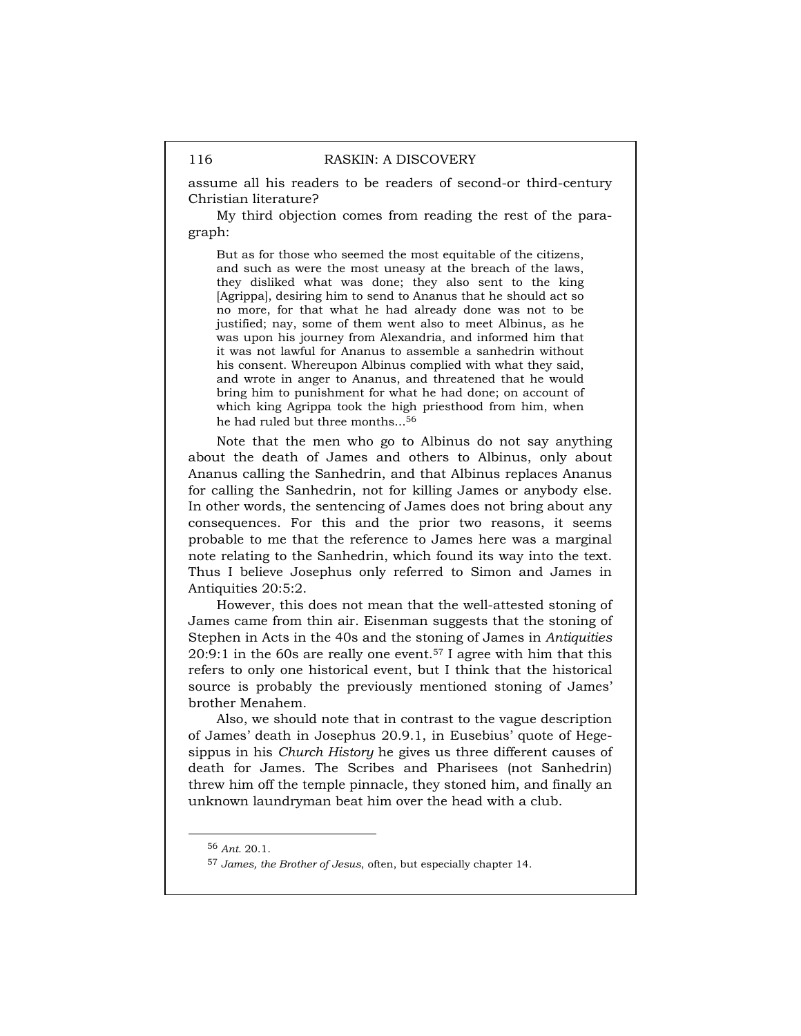assume all his readers to be readers of second-or third-century Christian literature?

My third objection comes from reading the rest of the paragraph:

But as for those who seemed the most equitable of the citizens, and such as were the most uneasy at the breach of the laws, they disliked what was done; they also sent to the king [Agrippa], desiring him to send to Ananus that he should act so no more, for that what he had already done was not to be justified; nay, some of them went also to meet Albinus, as he was upon his journey from Alexandria, and informed him that it was not lawful for Ananus to assemble a sanhedrin without his consent. Whereupon Albinus complied with what they said, and wrote in anger to Ananus, and threatened that he would bring him to punishment for what he had done; on account of which king Agrippa took the high priesthood from him, when he had ruled but three months..[.56](#page-22-0)

Note that the men who go to Albinus do not say anything about the death of James and others to Albinus, only about Ananus calling the Sanhedrin, and that Albinus replaces Ananus for calling the Sanhedrin, not for killing James or anybody else. In other words, the sentencing of James does not bring about any consequences. For this and the prior two reasons, it seems probable to me that the reference to James here was a marginal note relating to the Sanhedrin, which found its way into the text. Thus I believe Josephus only referred to Simon and James in Antiquities 20:5:2.

However, this does not mean that the well-attested stoning of James came from thin air. Eisenman suggests that the stoning of Stephen in Acts in the 40s and the stoning of James in *Antiquities* 20:9:1 in the 60s are really one event[.57](#page-22-1) I agree with him that this refers to only one historical event, but I think that the historical source is probably the previously mentioned stoning of James' brother Menahem.

Also, we should note that in contrast to the vague description of James' death in Josephus 20.9.1, in Eusebius' quote of Hegesippus in his *Church History* he gives us three different causes of death for James. The Scribes and Pharisees (not Sanhedrin) threw him off the temple pinnacle, they stoned him, and finally an unknown laundryman beat him over the head with a club.

<span id="page-22-0"></span> <sup>56</sup> *Ant.* 20.1.

<span id="page-22-1"></span><sup>57</sup> *James, the Brother of Jesus*, often, but especially chapter 14.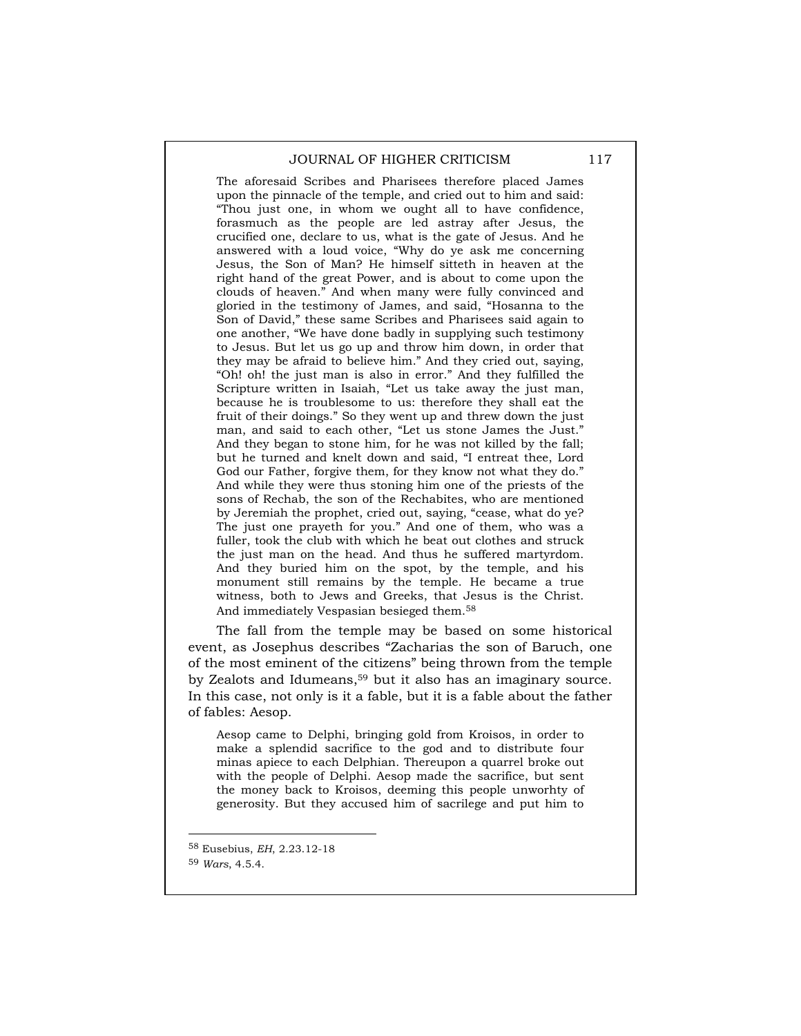The aforesaid Scribes and Pharisees therefore placed James upon the pinnacle of the temple, and cried out to him and said: "Thou just one, in whom we ought all to have confidence, forasmuch as the people are led astray after Jesus, the crucified one, declare to us, what is the gate of Jesus. And he answered with a loud voice, "Why do ye ask me concerning Jesus, the Son of Man? He himself sitteth in heaven at the right hand of the great Power, and is about to come upon the clouds of heaven." And when many were fully convinced and gloried in the testimony of James, and said, "Hosanna to the Son of David," these same Scribes and Pharisees said again to one another, "We have done badly in supplying such testimony to Jesus. But let us go up and throw him down, in order that they may be afraid to believe him." And they cried out, saying, "Oh! oh! the just man is also in error." And they fulfilled the Scripture written in Isaiah, "Let us take away the just man, because he is troublesome to us: therefore they shall eat the fruit of their doings." So they went up and threw down the just man, and said to each other, "Let us stone James the Just." And they began to stone him, for he was not killed by the fall; but he turned and knelt down and said, "I entreat thee, Lord God our Father, forgive them, for they know not what they do." And while they were thus stoning him one of the priests of the sons of Rechab, the son of the Rechabites, who are mentioned by Jeremiah the prophet, cried out, saying, "cease, what do ye? The just one prayeth for you." And one of them, who was a fuller, took the club with which he beat out clothes and struck the just man on the head. And thus he suffered martyrdom. And they buried him on the spot, by the temple, and his monument still remains by the temple. He became a true witness, both to Jews and Greeks, that Jesus is the Christ. And immediately Vespasian besieged them[.58](#page-23-0) 

The fall from the temple may be based on some historical event, as Josephus describes "Zacharias the son of Baruch, one of the most eminent of the citizens" being thrown from the temple by Zealots and Idumeans,<sup>59</sup> but it also has an imaginary source. In this case, not only is it a fable, but it is a fable about the father of fables: Aesop.

Aesop came to Delphi, bringing gold from Kroisos, in order to make a splendid sacrifice to the god and to distribute four minas apiece to each Delphian. Thereupon a quarrel broke out with the people of Delphi. Aesop made the sacrifice, but sent the money back to Kroisos, deeming this people unworhty of generosity. But they accused him of sacrilege and put him to

<span id="page-23-0"></span> <sup>58</sup> Eusebius, *EH*, 2.23.12-18

<span id="page-23-1"></span><sup>59</sup> *Wars*, 4.5.4.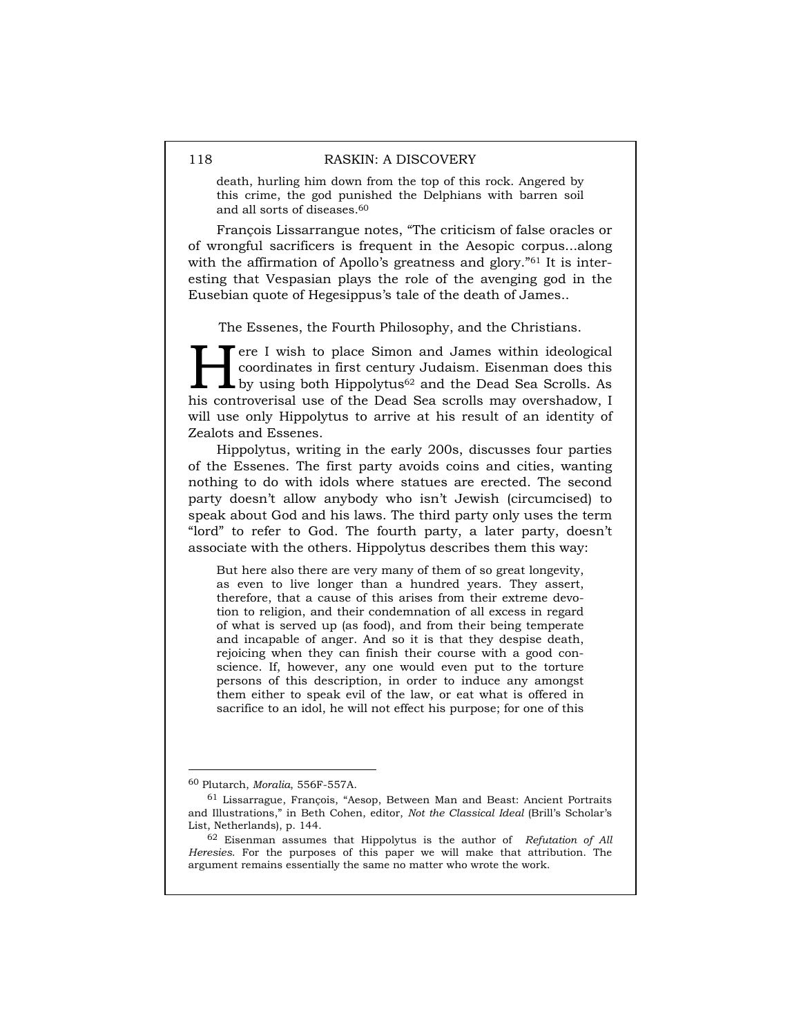death, hurling him down from the top of this rock. Angered by this crime, the god punished the Delphians with barren soil and all sorts of diseases[.60](#page-24-0)

François Lissarrangue notes, "The criticism of false oracles or of wrongful sacrificers is frequent in the Aesopic corpus...along with the affirmation of Apollo's greatness and glory."<sup>61</sup> It is interesting that Vespasian plays the role of the avenging god in the Eusebian quote of Hegesippus's tale of the death of James..

The Essenes, the Fourth Philosophy, and the Christians.

Tere I wish to place Simon and James within ideological coordinates in first century Judaism. Eisenman does this by using both Hippolytus<sup>62</sup> and the Dead Sea Scrolls. As his controverisal use of the Dead Sea scrolls may o ere I wish to place Simon and James within ideological coordinates in first century Judaism. Eisenman does this  $\mathsf{L}$  by using both Hippolytus<sup>62</sup> and the Dead Sea Scrolls. As will use only Hippolytus to arrive at his result of an identity of Zealots and Essenes.

Hippolytus, writing in the early 200s, discusses four parties of the Essenes. The first party avoids coins and cities, wanting nothing to do with idols where statues are erected. The second party doesn't allow anybody who isn't Jewish (circumcised) to speak about God and his laws. The third party only uses the term "lord" to refer to God. The fourth party, a later party, doesn't associate with the others. Hippolytus describes them this way:

But here also there are very many of them of so great longevity, as even to live longer than a hundred years. They assert, therefore, that a cause of this arises from their extreme devotion to religion, and their condemnation of all excess in regard of what is served up (as food), and from their being temperate and incapable of anger. And so it is that they despise death, rejoicing when they can finish their course with a good conscience. If, however, any one would even put to the torture persons of this description, in order to induce any amongst them either to speak evil of the law, or eat what is offered in sacrifice to an idol, he will not effect his purpose; for one of this

<span id="page-24-0"></span> <sup>60</sup> Plutarch, *Moralia*, 556F-557A.

<span id="page-24-1"></span><sup>61</sup> Lissarrague, François, "Aesop, Between Man and Beast: Ancient Portraits and Illustrations," in Beth Cohen, editor, *Not the Classical Ideal* (Brill's Scholar's List, Netherlands), p. 144.

<span id="page-24-2"></span><sup>62</sup> Eisenman assumes that Hippolytus is the author of *Refutation of All Heresies*. For the purposes of this paper we will make that attribution. The argument remains essentially the same no matter who wrote the work.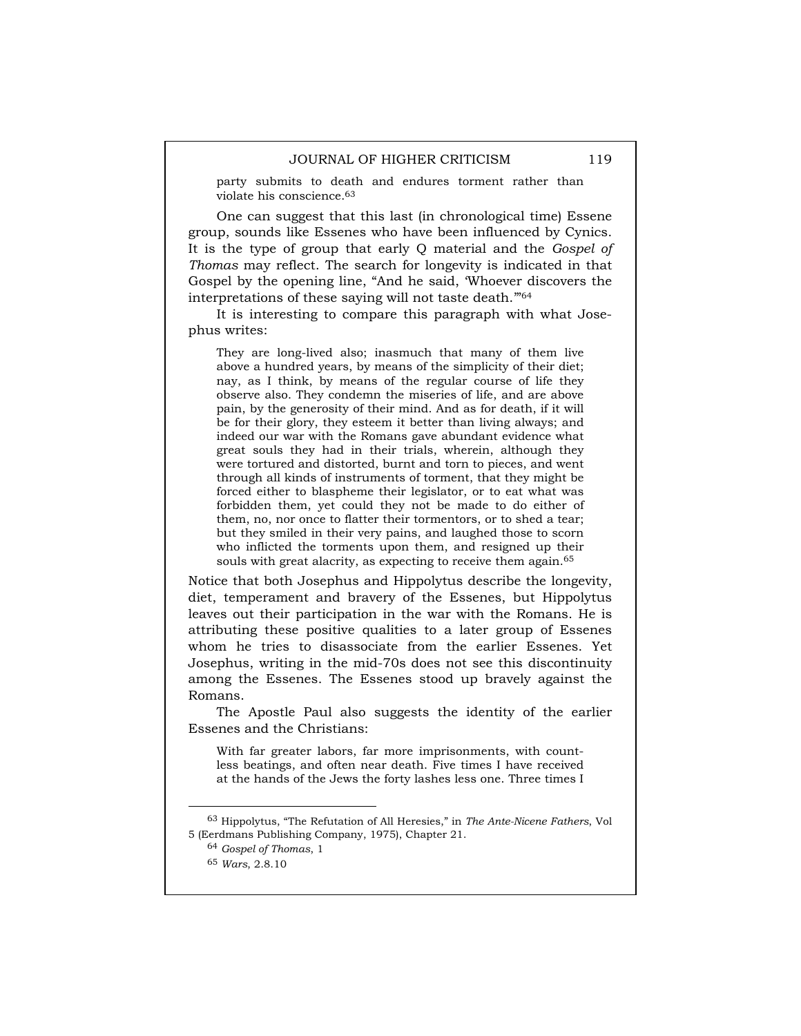party submits to death and endures torment rather than violate his conscience.[63](#page-25-0)

One can suggest that this last (in chronological time) Essene group, sounds like Essenes who have been influenced by Cynics. It is the type of group that early Q material and the *Gospel of Thomas* may reflect. The search for longevity is indicated in that Gospel by the opening line, "And he said, 'Whoever discovers the interpretations of these saying will not taste death."<sup>[64](#page-25-1)</sup>

It is interesting to compare this paragraph with what Josephus writes:

They are long-lived also; inasmuch that many of them live above a hundred years, by means of the simplicity of their diet; nay, as I think, by means of the regular course of life they observe also. They condemn the miseries of life, and are above pain, by the generosity of their mind. And as for death, if it will be for their glory, they esteem it better than living always; and indeed our war with the Romans gave abundant evidence what great souls they had in their trials, wherein, although they were tortured and distorted, burnt and torn to pieces, and went through all kinds of instruments of torment, that they might be forced either to blaspheme their legislator, or to eat what was forbidden them, yet could they not be made to do either of them, no, nor once to flatter their tormentors, or to shed a tear; but they smiled in their very pains, and laughed those to scorn who inflicted the torments upon them, and resigned up their souls with great alacrity, as expecting to receive them again.<sup>[65](#page-25-2)</sup>

Notice that both Josephus and Hippolytus describe the longevity, diet, temperament and bravery of the Essenes, but Hippolytus leaves out their participation in the war with the Romans. He is attributing these positive qualities to a later group of Essenes whom he tries to disassociate from the earlier Essenes. Yet Josephus, writing in the mid-70s does not see this discontinuity among the Essenes. The Essenes stood up bravely against the Romans.

The Apostle Paul also suggests the identity of the earlier Essenes and the Christians:

With far greater labors, far more imprisonments, with countless beatings, and often near death. Five times I have received at the hands of the Jews the forty lashes less one. Three times I

 <sup>63</sup> Hippolytus, "The Refutation of All Heresies," in *The Ante-Nicene Fathers*, Vol 5 (Eerdmans Publishing Company, 1975), Chapter 21.

<span id="page-25-1"></span><span id="page-25-0"></span><sup>64</sup> *Gospel of Thomas*, 1

<span id="page-25-2"></span><sup>65</sup> *Wars*, 2.8.10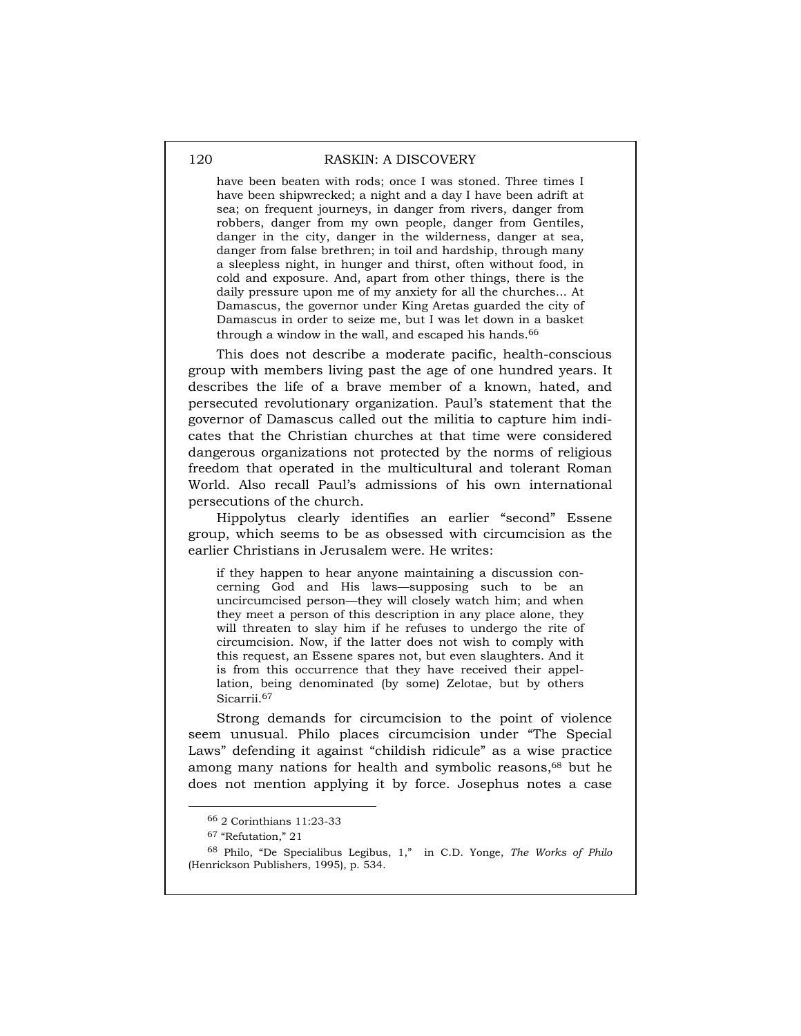have been beaten with rods; once I was stoned. Three times I have been shipwrecked; a night and a day I have been adrift at sea; on frequent journeys, in danger from rivers, danger from robbers, danger from my own people, danger from Gentiles, danger in the city, danger in the wilderness, danger at sea, danger from false brethren; in toil and hardship, through many a sleepless night, in hunger and thirst, often without food, in cold and exposure. And, apart from other things, there is the daily pressure upon me of my anxiety for all the churches... At Damascus, the governor under King Aretas guarded the city of Damascus in order to seize me, but I was let down in a basket through a window in the wall, and escaped his hands. $66$ 

This does not describe a moderate pacific, health-conscious group with members living past the age of one hundred years. It describes the life of a brave member of a known, hated, and persecuted revolutionary organization. Paul's statement that the governor of Damascus called out the militia to capture him indicates that the Christian churches at that time were considered dangerous organizations not protected by the norms of religious freedom that operated in the multicultural and tolerant Roman World. Also recall Paul's admissions of his own international persecutions of the church.

Hippolytus clearly identifies an earlier "second" Essene group, which seems to be as obsessed with circumcision as the earlier Christians in Jerusalem were. He writes:

if they happen to hear anyone maintaining a discussion concerning God and His laws—supposing such to be an uncircumcised person—they will closely watch him; and when they meet a person of this description in any place alone, they will threaten to slay him if he refuses to undergo the rite of circumcision. Now, if the latter does not wish to comply with this request, an Essene spares not, but even slaughters. And it is from this occurrence that they have received their appellation, being denominated (by some) Zelotae, but by others Sicarrii.<sup>67</sup>

Strong demands for circumcision to the point of violence seem unusual. Philo places circumcision under "The Special Laws" defending it against "childish ridicule" as a wise practice among many nations for health and symbolic reasons,[68](#page-26-2) but he does not mention applying it by force. Josephus notes a case

<span id="page-26-0"></span> <sup>66 2</sup> Corinthians 11:23-33

<span id="page-26-2"></span><span id="page-26-1"></span><sup>67 &</sup>quot;Refutation," 21

<sup>68</sup> Philo, "De Specialibus Legibus, 1," in C.D. Yonge, *The Works of Philo* (Henrickson Publishers, 1995), p. 534.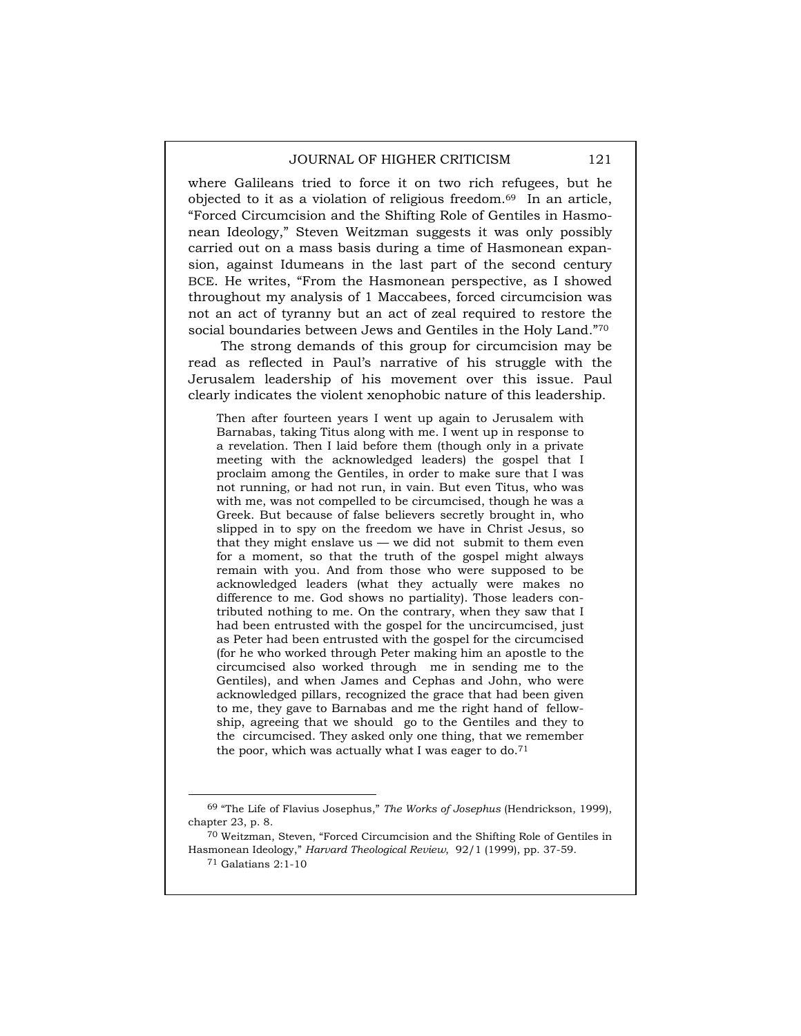where Galileans tried to force it on two rich refugees, but he objected to it as a violation of religious freedom.[69](#page-27-0) In an article, "Forced Circumcision and the Shifting Role of Gentiles in Hasmonean Ideology," Steven Weitzman suggests it was only possibly carried out on a mass basis during a time of Hasmonean expansion, against Idumeans in the last part of the second century BCE. He writes, "From the Hasmonean perspective, as I showed throughout my analysis of 1 Maccabees, forced circumcision was not an act of tyranny but an act of zeal required to restore the social boundaries between Jews and Gentiles in the Holy Land."[70](#page-27-1)

The strong demands of this group for circumcision may be read as reflected in Paul's narrative of his struggle with the Jerusalem leadership of his movement over this issue. Paul clearly indicates the violent xenophobic nature of this leadership.

Then after fourteen years I went up again to Jerusalem with Barnabas, taking Titus along with me. I went up in response to a revelation. Then I laid before them (though only in a private meeting with the acknowledged leaders) the gospel that I proclaim among the Gentiles, in order to make sure that I was not running, or had not run, in vain. But even Titus, who was with me, was not compelled to be circumcised, though he was a Greek. But because of false believers secretly brought in, who slipped in to spy on the freedom we have in Christ Jesus, so that they might enslave us  $-$  we did not submit to them even for a moment, so that the truth of the gospel might always remain with you. And from those who were supposed to be acknowledged leaders (what they actually were makes no difference to me. God shows no partiality). Those leaders contributed nothing to me. On the contrary, when they saw that I had been entrusted with the gospel for the uncircumcised, just as Peter had been entrusted with the gospel for the circumcised (for he who worked through Peter making him an apostle to the circumcised also worked through me in sending me to the Gentiles), and when James and Cephas and John, who were acknowledged pillars, recognized the grace that had been given to me, they gave to Barnabas and me the right hand of fellowship, agreeing that we should go to the Gentiles and they to the circumcised. They asked only one thing, that we remember the poor, which was actually what I was eager to  $do.^{71}$ 

<span id="page-27-0"></span> <sup>69</sup> "The Life of Flavius Josephus," *The Works of Josephus* (Hendrickson, 1999), chapter 23, p. 8.

<span id="page-27-1"></span><sup>70</sup> Weitzman, Steven, "Forced Circumcision and the Shifting Role of Gentiles in Hasmonean Ideology," *Harvard Theological Review*, 92/1 (1999), pp. 37-59.

<span id="page-27-2"></span><sup>71</sup> Galatians 2:1-10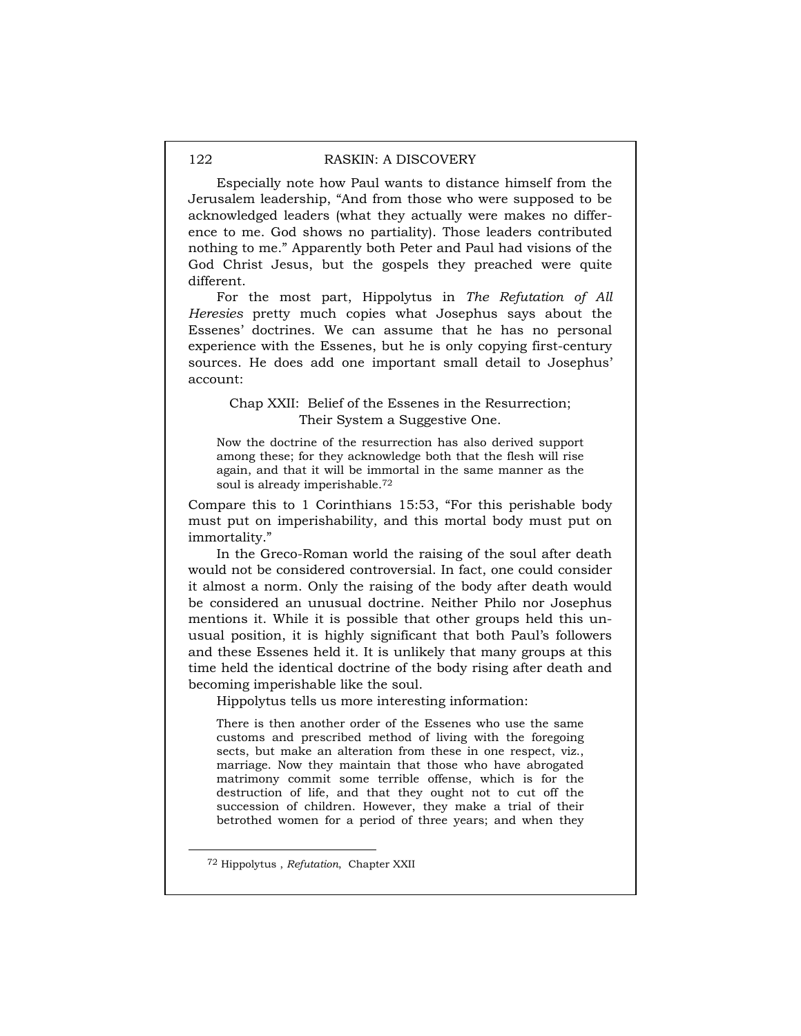Especially note how Paul wants to distance himself from the Jerusalem leadership, "And from those who were supposed to be acknowledged leaders (what they actually were makes no difference to me. God shows no partiality). Those leaders contributed nothing to me." Apparently both Peter and Paul had visions of the God Christ Jesus, but the gospels they preached were quite different.

For the most part, Hippolytus in *The Refutation of All Heresies* pretty much copies what Josephus says about the Essenes' doctrines. We can assume that he has no personal experience with the Essenes, but he is only copying first-century sources. He does add one important small detail to Josephus' account:

## Chap XXII: Belief of the Essenes in the Resurrection; Their System a Suggestive One.

Now the doctrine of the resurrection has also derived support among these; for they acknowledge both that the flesh will rise again, and that it will be immortal in the same manner as the soul is already imperishable[.72](#page-28-0)

Compare this to 1 Corinthians 15:53, "For this perishable body must put on imperishability, and this mortal body must put on immortality."

In the Greco-Roman world the raising of the soul after death would not be considered controversial. In fact, one could consider it almost a norm. Only the raising of the body after death would be considered an unusual doctrine. Neither Philo nor Josephus mentions it. While it is possible that other groups held this unusual position, it is highly significant that both Paul's followers and these Essenes held it. It is unlikely that many groups at this time held the identical doctrine of the body rising after death and becoming imperishable like the soul.

Hippolytus tells us more interesting information:

There is then another order of the Essenes who use the same customs and prescribed method of living with the foregoing sects, but make an alteration from these in one respect, viz., marriage. Now they maintain that those who have abrogated matrimony commit some terrible offense, which is for the destruction of life, and that they ought not to cut off the succession of children. However, they make a trial of their betrothed women for a period of three years; and when they

<span id="page-28-0"></span> <sup>72</sup> Hippolytus , *Refutation*, Chapter XXII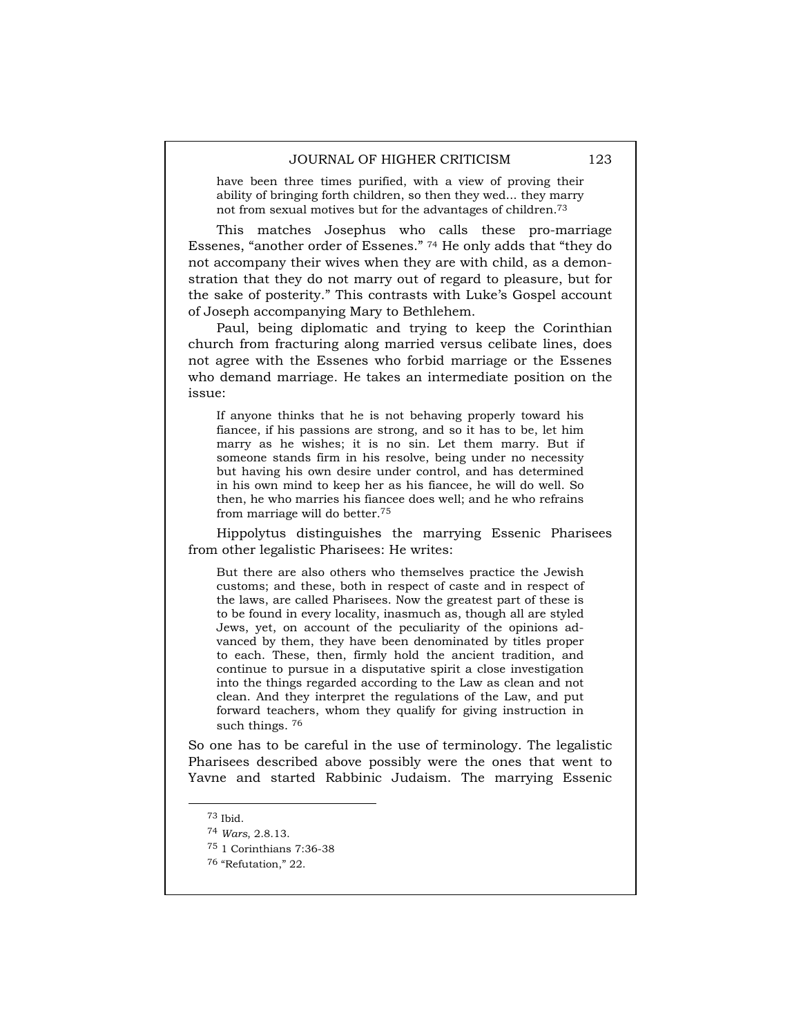have been three times purified, with a view of proving their ability of bringing forth children, so then they wed... they marry not from sexual motives but for the advantages of children.[73](#page-29-0)

This matches Josephus who calls these pro-marriage Essenes, "another order of Essenes." [74](#page-29-1) He only adds that "they do not accompany their wives when they are with child, as a demonstration that they do not marry out of regard to pleasure, but for the sake of posterity." This contrasts with Luke's Gospel account of Joseph accompanying Mary to Bethlehem.

Paul, being diplomatic and trying to keep the Corinthian church from fracturing along married versus celibate lines, does not agree with the Essenes who forbid marriage or the Essenes who demand marriage. He takes an intermediate position on the issue:

If anyone thinks that he is not behaving properly toward his fiancee, if his passions are strong, and so it has to be, let him marry as he wishes; it is no sin. Let them marry. But if someone stands firm in his resolve, being under no necessity but having his own desire under control, and has determined in his own mind to keep her as his fiancee, he will do well. So then, he who marries his fiancee does well; and he who refrains from marriage will do better.[75](#page-29-2) 

Hippolytus distinguishes the marrying Essenic Pharisees from other legalistic Pharisees: He writes:

But there are also others who themselves practice the Jewish customs; and these, both in respect of caste and in respect of the laws, are called Pharisees. Now the greatest part of these is to be found in every locality, inasmuch as, though all are styled Jews, yet, on account of the peculiarity of the opinions advanced by them, they have been denominated by titles proper to each. These, then, firmly hold the ancient tradition, and continue to pursue in a disputative spirit a close investigation into the things regarded according to the Law as clean and not clean. And they interpret the regulations of the Law, and put forward teachers, whom they qualify for giving instruction in such things.  $76$ 

So one has to be careful in the use of terminology. The legalistic Pharisees described above possibly were the ones that went to Yavne and started Rabbinic Judaism. The marrying Essenic

<span id="page-29-0"></span> <sup>73</sup> Ibid.

<span id="page-29-1"></span><sup>74</sup> *Wars*, 2.8.13.

<span id="page-29-2"></span><sup>75 1</sup> Corinthians 7:36-38

<span id="page-29-3"></span><sup>76 &</sup>quot;Refutation," 22.